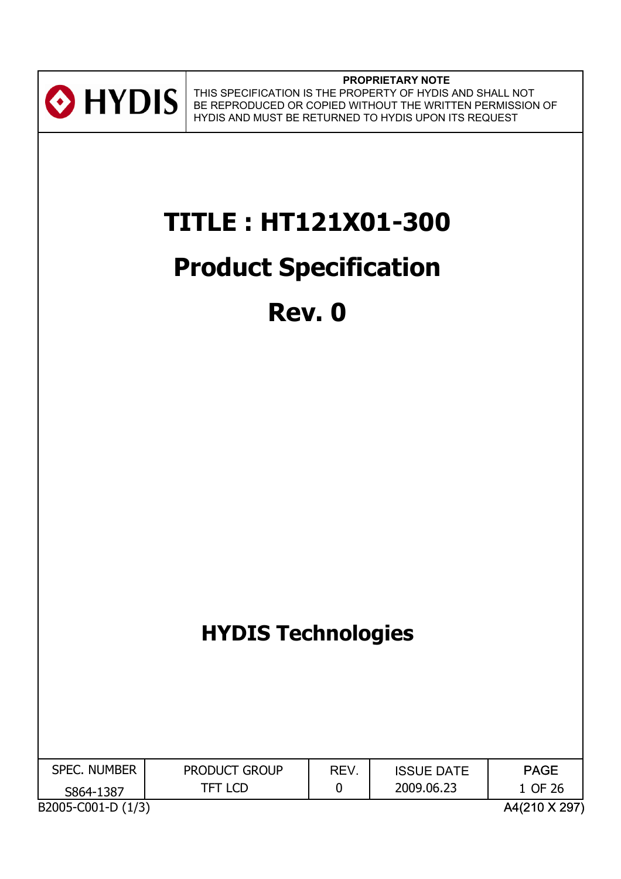

**PROPRIETARY NOTE** THIS SPECIFICATION IS THE PROPERTY OF HYDIS AND SHALL NOT BE REPRODUCED OR COPIED WITHOUT THE WRITTEN PERMISSION OF HYDIS AND MUST BE RETURNED TO HYDIS UPON ITS REQUEST

# **TITLE : HT121X01-300**

# **Product Specification**

# **Rev. 0**

## **HYDIS Technologies**

| <b>SPEC. NUMBER</b> | <b>PRODUCT GROUP</b> | REV. | <b>ISSUE DATE</b> | <b>PAGE</b>   |
|---------------------|----------------------|------|-------------------|---------------|
| S864-1387           | TFT LCD              |      | 2009.06.23        | 1 OF 26       |
| B2005-C001-D (1/3)  |                      |      |                   | A4(210 X 297) |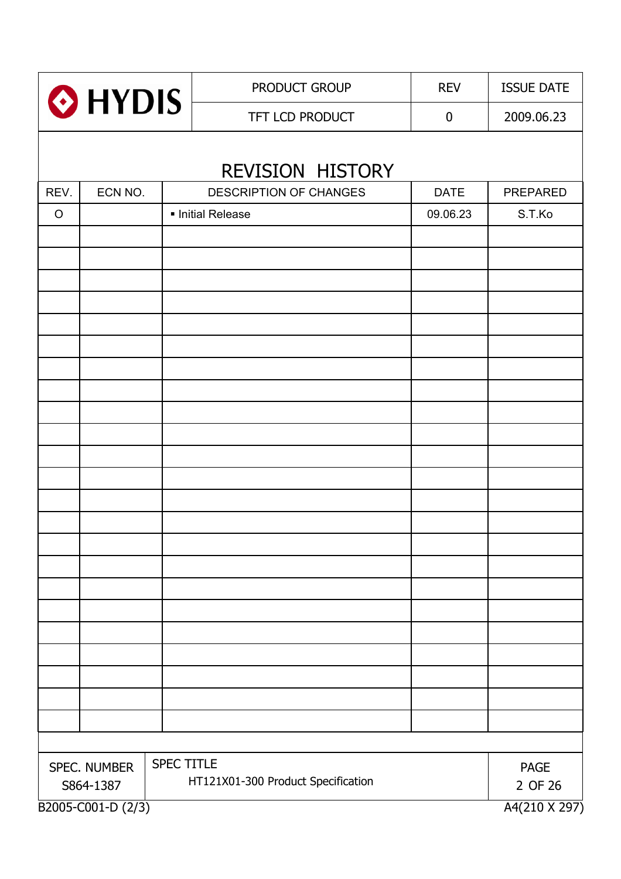| HYDIS <sup>®</sup>        |                                     |            | PRODUCT GROUP          | <b>REV</b>       | <b>ISSUE DATE</b> |  |
|---------------------------|-------------------------------------|------------|------------------------|------------------|-------------------|--|
|                           |                                     |            | TFT LCD PRODUCT        | $\boldsymbol{0}$ | 2009.06.23        |  |
|                           |                                     |            | REVISION HISTORY       |                  |                   |  |
| REV.                      | ECN NO.                             |            | DESCRIPTION OF CHANGES | <b>DATE</b>      | PREPARED          |  |
| $\circ$                   |                                     |            | · Initial Release      | 09.06.23         | S.T.Ko            |  |
|                           |                                     |            |                        |                  |                   |  |
|                           |                                     |            |                        |                  |                   |  |
|                           |                                     |            |                        |                  |                   |  |
|                           |                                     |            |                        |                  |                   |  |
|                           |                                     |            |                        |                  |                   |  |
|                           |                                     |            |                        |                  |                   |  |
|                           |                                     |            |                        |                  |                   |  |
|                           |                                     |            |                        |                  |                   |  |
|                           |                                     |            |                        |                  |                   |  |
|                           |                                     |            |                        |                  |                   |  |
|                           |                                     |            |                        |                  |                   |  |
|                           |                                     |            |                        |                  |                   |  |
|                           |                                     |            |                        |                  |                   |  |
|                           |                                     |            |                        |                  |                   |  |
|                           |                                     |            |                        |                  |                   |  |
|                           |                                     |            |                        |                  |                   |  |
|                           |                                     |            |                        |                  |                   |  |
|                           |                                     |            |                        |                  |                   |  |
|                           |                                     |            |                        |                  |                   |  |
|                           |                                     | SPEC TITLE |                        |                  |                   |  |
| SPEC. NUMBER<br>S864-1387 | <b>PAGE</b><br>2 OF 26              |            |                        |                  |                   |  |
|                           | A4(210 X 297)<br>B2005-C001-D (2/3) |            |                        |                  |                   |  |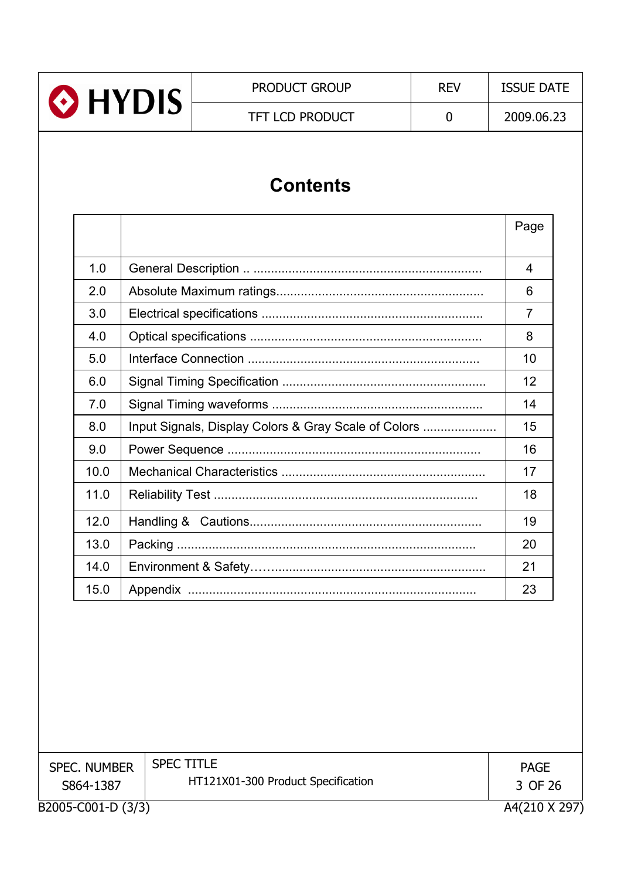

## **Contents**

|      |                                                      | Page           |
|------|------------------------------------------------------|----------------|
|      |                                                      |                |
| 1.0  |                                                      | 4              |
| 2.0  |                                                      | 6              |
| 3.0  |                                                      | $\overline{7}$ |
| 4.0  |                                                      | 8              |
| 5.0  |                                                      | 10             |
| 6.0  |                                                      | 12             |
| 7.0  |                                                      | 14             |
| 8.0  | Input Signals, Display Colors & Gray Scale of Colors | 15             |
| 9.0  |                                                      | 16             |
| 10.0 |                                                      | 17             |
| 11.0 |                                                      | 18             |
| 12.0 |                                                      | 19             |
| 13.0 |                                                      | 20             |
| 14.0 |                                                      | 21             |
| 15.0 |                                                      | 23             |

| <b>SPEC. NUMBER</b> | <b>SPEC TITLE</b>                  | <b>PAGE</b>   |
|---------------------|------------------------------------|---------------|
| S864-1387           | HT121X01-300 Product Specification | 3 OF 26       |
| B2005-C001-D (3/3)  |                                    | A4(210 X 297) |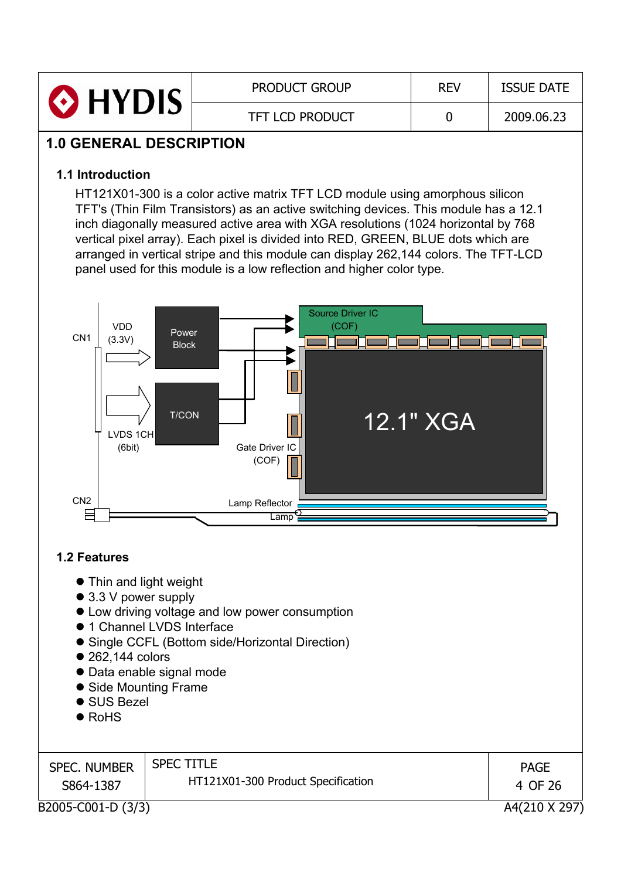| <b>O</b> HYDIS | <b>PRODUCT GROUP</b>   | <b>REV</b> | <b>ISSUE DATE</b> |
|----------------|------------------------|------------|-------------------|
|                | <b>TFT LCD PRODUCT</b> |            | 2009.06.23        |

### **1.0 GENERAL DESCRIPTION**

#### **1.1 Introduction**

HT121X01-300 is a color active matrix TFT LCD module using amorphous silicon TFT's (Thin Film Transistors) as an active switching devices. This module has a 12.1 inch diagonally measured active area with XGA resolutions (1024 horizontal by 768 vertical pixel array). Each pixel is divided into RED, GREEN, BLUE dots which are arranged in vertical stripe and this module can display 262,144 colors. The TFT-LCD panel used for this module is a low reflection and higher color type.



#### **1.2 Features**

- Thin and light weight
- $\bullet$  3.3 V power supply
- Low driving voltage and low power consumption
- $\bullet$  1 Channel LVDS Interface
- Single CCFL (Bottom side/Horizontal Direction)
- $\bullet$  262.144 colors
- Data enable signal mode
- Side Mounting Frame
- $\bullet$  SUS Bezel
- $\bullet$  RoHS

| <b>SPEC. NUMBER</b> | <b>SPEC TITLE</b>                  | <b>PAGE</b>   |
|---------------------|------------------------------------|---------------|
| S864-1387           | HT121X01-300 Product Specification | 4 OF 26       |
| B2005-C001-D (3/3)  |                                    | A4(210 X 297) |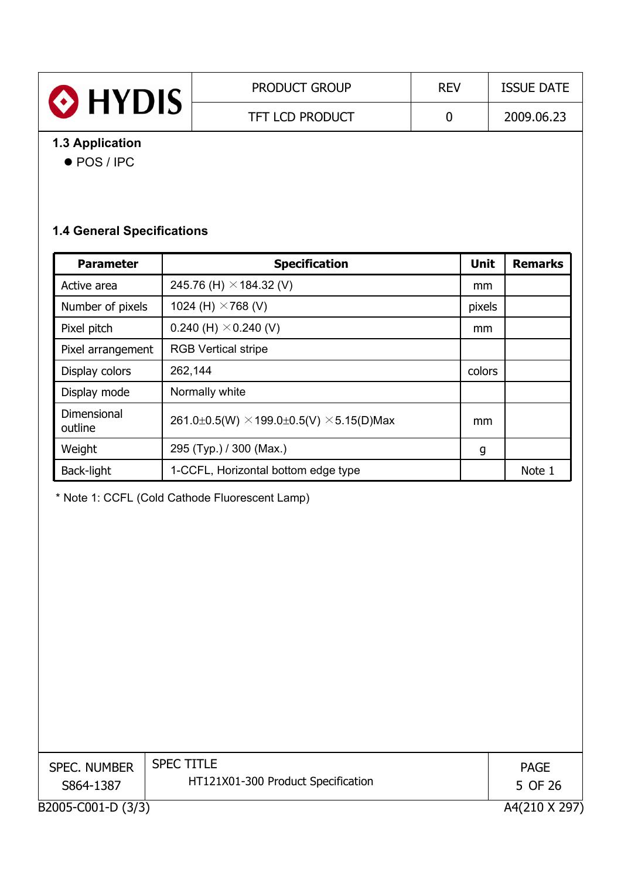| HYDIS           | <b>PRODUCT GROUP</b>   | <b>REV</b> | <b>ISSUE DATE</b> |
|-----------------|------------------------|------------|-------------------|
|                 | <b>TFT LCD PRODUCT</b> |            | 2009.06.23        |
| 1.3 Application |                        |            |                   |

#### ● POS / IPC

#### **1.4 General Specifications**

| <b>Parameter</b>       | <b>Specification</b>                                   | Unit   | <b>Remarks</b> |
|------------------------|--------------------------------------------------------|--------|----------------|
| Active area            | 245.76 (H) $\times$ 184.32 (V)                         | mm     |                |
| Number of pixels       | 1024 (H) $\times$ 768 (V)                              | pixels |                |
| Pixel pitch            | 0.240 (H) $\times$ 0.240 (V)                           | mm     |                |
| Pixel arrangement      | <b>RGB Vertical stripe</b>                             |        |                |
| Display colors         | 262,144                                                | colors |                |
| Display mode           | Normally white                                         |        |                |
| Dimensional<br>outline | 261.0±0.5(W) $\times$ 199.0±0.5(V) $\times$ 5.15(D)Max | mm     |                |
| Weight                 | 295 (Typ.) / 300 (Max.)                                | g      |                |
| Back-light             | 1-CCFL, Horizontal bottom edge type                    |        | Note 1         |

\* Note 1: CCFL (Cold Cathode Fluorescent Lamp)

| <b>SPEC. NUMBER</b><br>S864-1387 | <b>SPEC TITLE</b><br>HT121X01-300 Product Specification | <b>PAGE</b><br>5 OF 26 |
|----------------------------------|---------------------------------------------------------|------------------------|
| B2005-C001-D (3/3)               |                                                         | A4(210 X 297           |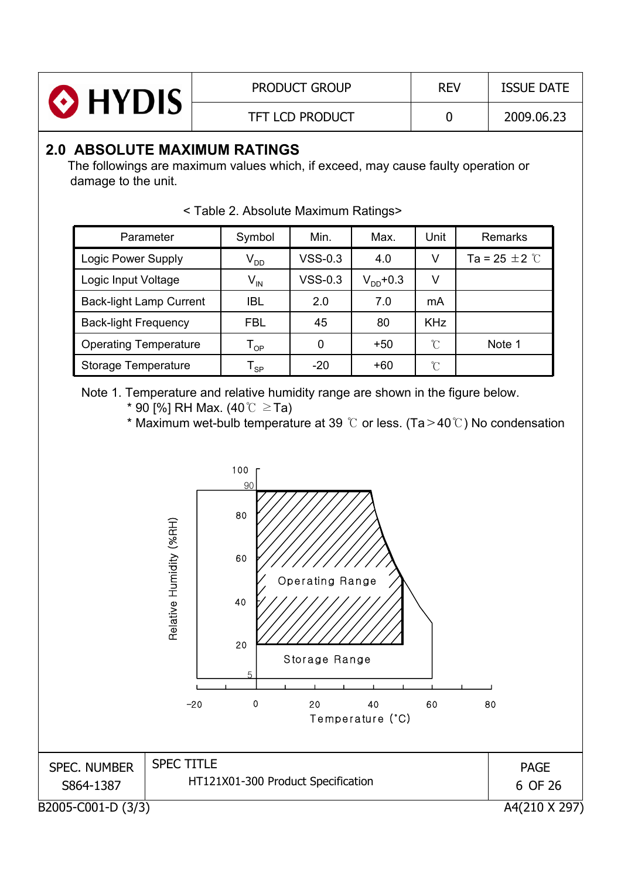| <b>O</b> HYDIS | <b>PRODUCT GROUP</b>   | <b>REV</b> | <b>ISSUE DATE</b> |
|----------------|------------------------|------------|-------------------|
|                | <b>TFT LCD PRODUCT</b> |            | 2009.06.23        |

#### **2.0 ABSOLUTE MAXIMUM RATINGS**

The followings are maximum values which, if exceed, may cause faulty operation or damage to the unit.

| Parameter                      | Symbol                     | Min.      | Max.          | Unit                | <b>Remarks</b>              |
|--------------------------------|----------------------------|-----------|---------------|---------------------|-----------------------------|
| Logic Power Supply             | $V_{DD}$                   | $VSS-0.3$ | 4.0           | V                   | Ta = 25 $\pm$ 2 $\degree$ C |
| Logic Input Voltage            | $\mathsf{V}_{\mathsf{IN}}$ | $VSS-0.3$ | $V_{DD}$ +0.3 | V                   |                             |
| <b>Back-light Lamp Current</b> | <b>IBL</b>                 | 2.0       | 7.0           | mA                  |                             |
| <b>Back-light Frequency</b>    | <b>FBL</b>                 | 45        | 80            | <b>KHz</b>          |                             |
| <b>Operating Temperature</b>   | $\mathsf{T}_{\mathsf{OP}}$ | 0         | $+50$         | $\hat{\mathcal{C}}$ | Note 1                      |
| <b>Storage Temperature</b>     | l <sub>SP</sub>            | $-20$     | +60           | °C                  |                             |

< Table 2. Absolute Maximum Ratings>

Note 1. Temperature and relative humidity range are shown in the figure below.

\* 90 [%] RH Max. (40 $\degree$ C  $\geq$ Ta)

\* Maximum wet-bulb temperature at 39  $\degree$  or less. (Ta > 40 $\degree$ ) No condensation

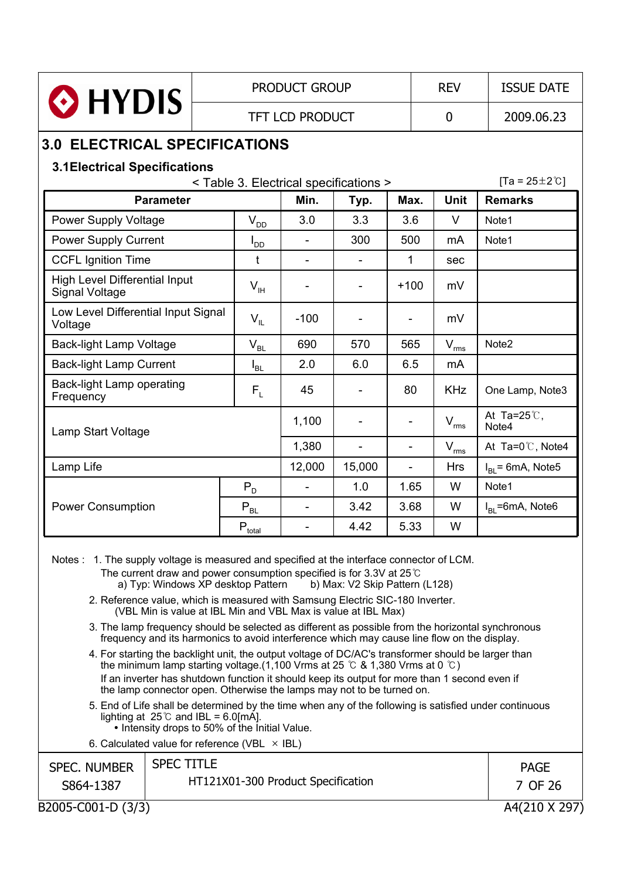|                                                                                                                            |                                      | <b>PRODUCT GROUP</b> |                |        |                |  | <b>REV</b>     | <b>ISSUE DATE</b>       |  |
|----------------------------------------------------------------------------------------------------------------------------|--------------------------------------|----------------------|----------------|--------|----------------|--|----------------|-------------------------|--|
| HYDIS                                                                                                                      |                                      | TFT LCD PRODUCT      |                |        |                |  | $\overline{0}$ | 2009.06.23              |  |
|                                                                                                                            | <b>3.0 ELECTRICAL SPECIFICATIONS</b> |                      |                |        |                |  |                |                         |  |
| <b>3.1Electrical Specifications</b><br>$[Ta = 25 \pm 2^{\circ}C]$<br><table 3.="" electrical="" specifications=""></table> |                                      |                      |                |        |                |  |                |                         |  |
| <b>Parameter</b>                                                                                                           |                                      | Min.                 |                | Typ.   | Max.           |  | <b>Unit</b>    | <b>Remarks</b>          |  |
| <b>Power Supply Voltage</b>                                                                                                | $\mathsf{V}_{\mathsf{DD}}$           | 3.0                  |                | 3.3    | 3.6            |  | V              | Note1                   |  |
| <b>Power Supply Current</b>                                                                                                | $I_{DD}$                             |                      | $\blacksquare$ | 300    | 500            |  | mA             | Note1                   |  |
| <b>CCFL Ignition Time</b>                                                                                                  |                                      |                      |                |        | 1              |  | sec            |                         |  |
| <b>High Level Differential Input</b><br><b>Signal Voltage</b>                                                              |                                      | $V_{\text{IH}}$      |                |        | $+100$         |  | mV             |                         |  |
| Low Level Differential Input Signal<br>Voltage                                                                             |                                      | $-100$<br>$V_{IL}$   |                |        |                |  | mV             |                         |  |
| <b>Back-light Lamp Voltage</b>                                                                                             | $V_{BL}$                             | 690                  |                | 570    | 565            |  | $\rm V_{rms}$  | Note2                   |  |
| <b>Back-light Lamp Current</b>                                                                                             | $I_{BL}$                             | 2.0                  |                | 6.0    | 6.5            |  | mA             |                         |  |
| Back-light Lamp operating<br>Frequency                                                                                     | $F_{\rm L}$                          | 45                   |                |        | 80             |  | <b>KHz</b>     | One Lamp, Note3         |  |
| Lamp Start Voltage                                                                                                         |                                      | 1,100                |                |        |                |  | $V_{\rm rms}$  | At Ta=25 $C$ ,<br>Note4 |  |
|                                                                                                                            |                                      | 1,380                |                | ÷.     | $\blacksquare$ |  | $V_{rms}$      | At Ta=0°C, Note4        |  |
| Lamp Life                                                                                                                  |                                      |                      | 12,000         | 15,000 | $\blacksquare$ |  | <b>Hrs</b>     | $IRI$ = 6mA, Note5      |  |
|                                                                                                                            |                                      |                      |                | 1.0    | 1.65           |  | W              | Note1                   |  |
| <b>Power Consumption</b>                                                                                                   | $P_{BL}$                             | $\blacksquare$       |                | 3.42   | 3.68           |  | W              | $IRI$ =6mA, Note6       |  |
|                                                                                                                            | $P_{\text{total}}$                   | $\blacksquare$       |                | 4.42   | 5.33           |  | W              |                         |  |

Notes : 1. The supply voltage is measured and specified at the interface connector of LCM.

The current draw and power consumption specified is for 3.3V at 25 $^{\circ}$ C a) Typ: Windows XP desktop Pattern b) Max: V2 Skip Pattern (L128) a) Typ: Windows  $\overline{XP}$  desktop Pattern

- 2. Reference value, which is measured with Samsung Electric SIC-180 Inverter. (VBL Min is value at IBL Min and VBL Max is value at IBL Max)
- 3. The lamp frequency should be selected as different as possible from the horizontal synchronous frequency and its harmonics to avoid interference which may cause line flow on the display.
- 4. For starting the backlight unit, the output voltage of DC/AC's transformer should be larger than the minimum lamp starting voltage.(1,100 Vrms at 25  $\degree$  & 1,380 Vrms at 0  $\degree$ C) If an inverter has shutdown function it should keep its output for more than 1 second even if the lamp connector open. Otherwise the lamps may not to be turned on.
- 5. End of Life shall be determined by the time when any of the following is satisfied under continuous lighting at  $25^{\circ}$  and IBL = 6.0[mA].
	- Intensity drops to 50% of the Initial Value.
- 6. Calculated value for reference (VBL  $\times$  IBL)

| <b>SPEC. NUMBER</b> | <b>SPEC TITLE</b>                  | <b>PAGE</b>   |
|---------------------|------------------------------------|---------------|
| S864-1387           | HT121X01-300 Product Specification | 7 OF 26       |
| B2005-C001-D (3/3)  |                                    | A4(210 X 297) |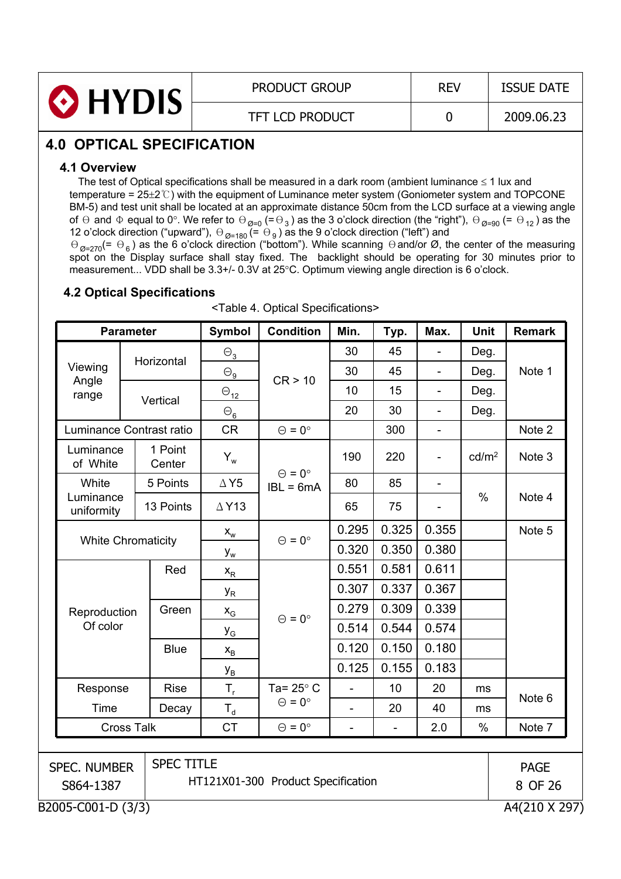| <b>O</b> HYDIS | <b>PRODUCT GROUP</b>   | <b>REV</b> | <b>ISSUE DATE</b> |
|----------------|------------------------|------------|-------------------|
|                | <b>TFT LCD PRODUCT</b> |            | 2009.06.23        |

## **4.0 OPTICAL SPECIFICATION**

#### **4.1 Overview**

The test of Optical specifications shall be measured in a dark room (ambient luminance  $\leq 1$  lux and temperature =  $25\pm2$ °C) with the equipment of Luminance meter system (Goniometer system and TOPCONE BM-5) and test unit shall be located at an approximate distance 50cm from the LCD surface at a viewing angle of  $\Theta$  and  $\Phi$  equal to 0°. We refer to  $\Theta_{\sf Q=0}$  (=  $\Theta_3$  ) as the 3 o'clock direction (the "right"),  $\Theta_{\sf Q=90}$  (=  $\Theta_{12}$  ) as the 12 o'clock direction ("upward"),  $\Theta_{\textit{Q=180}}$  (=  $\Theta_{9}$ ) as the 9 o'clock direction ("left") and

 $\Theta_{\emptyset=270} (= \Theta_6)$  as the 6 o'clock direction ("bottom"). While scanning  $\Theta$  and/or Ø, the center of the measuring spot on the Display surface shall stay fixed. The backlight should be operating for 30 minutes prior to measurement... VDD shall be 3.3+/- 0.3V at 25°C. Optimum viewing angle direction is 6 o'clock.

#### **4.2 Optical Specifications**

| <b>Parameter</b>          |                           | Symbol            | <b>Condition</b>             | Min.                               | Typ.           | Max.  | Unit                     | <b>Remark</b>     |               |
|---------------------------|---------------------------|-------------------|------------------------------|------------------------------------|----------------|-------|--------------------------|-------------------|---------------|
|                           |                           | Horizontal        | $\Theta_3$                   |                                    | 30             | 45    | ÷,                       | Deg.              |               |
| Viewing<br>Angle<br>range |                           |                   | $\Theta_{\underline{\bf 9}}$ | CR > 10                            | 30             | 45    | ÷,                       | Deg.              | Note 1        |
|                           |                           |                   | $\Theta_{\underline{12}}$    |                                    | 10             | 15    | $\overline{\phantom{a}}$ | Deg.              |               |
|                           |                           | Vertical          | $\Theta_{\bf 6}$             |                                    | 20             | 30    | $\blacksquare$           | Deg.              |               |
| Luminance Contrast ratio  |                           |                   | <b>CR</b>                    | $\Theta = 0^{\circ}$               |                | 300   | $\overline{\phantom{a}}$ |                   | Note 2        |
| Luminance<br>of White     |                           | 1 Point<br>Center | $Y_w$                        | $\Theta = 0^{\circ}$               | 190            | 220   | $\overline{\phantom{a}}$ | cd/m <sup>2</sup> | Note 3        |
| White                     |                           | 5 Points          | $\Delta$ Y5                  | $IBL = 6mA$                        | 80             | 85    | $\overline{\phantom{a}}$ |                   |               |
| Luminance<br>uniformity   |                           | 13 Points         | $\triangle$ Y13              |                                    | 65             | 75    |                          | $\frac{0}{0}$     | Note 4        |
|                           |                           |                   | $\mathsf{X}_{\mathsf{w}}$    | $\Theta = 0^{\circ}$               | 0.295          | 0.325 | 0.355                    |                   | Note 5        |
|                           | <b>White Chromaticity</b> |                   | $y_w$                        |                                    | 0.320          | 0.350 | 0.380                    |                   |               |
|                           |                           | Red               | $\mathsf{X}_\mathsf{R}$      |                                    | 0.551          | 0.581 | 0.611                    |                   |               |
|                           |                           |                   | У <sub>R</sub>               | $\Theta = 0^{\circ}$               | 0.307          | 0.337 | 0.367                    |                   |               |
| Reproduction              |                           | Green             | $\mathsf{x}_{\mathsf{G}}$    |                                    | 0.279          | 0.309 | 0.339                    |                   |               |
| Of color                  |                           |                   | $y_{G}$                      |                                    | 0.514          | 0.544 | 0.574                    |                   |               |
|                           |                           | <b>Blue</b>       | $X_B$                        |                                    | 0.120          | 0.150 | 0.180                    |                   |               |
|                           |                           |                   | У <sub>в</sub>               |                                    | 0.125          | 0.155 | 0.183                    |                   |               |
| Response                  |                           | <b>Rise</b>       | $T_{\rm r}$                  | Ta= $25^\circ$ C                   | $\overline{a}$ | 10    | 20                       | ms                |               |
| <b>Time</b>               |                           | Decay             | $T_d$                        | $\Theta = 0^{\circ}$               |                | 20    | 40                       | ms                | Note 6        |
| <b>Cross Talk</b>         |                           | <b>CT</b>         | $\Theta = 0^{\circ}$         | ÷,                                 | $\overline{a}$ | 2.0   | $\%$                     | Note 7            |               |
|                           |                           |                   |                              |                                    |                |       |                          |                   |               |
| <b>SPEC. NUMBER</b>       |                           | <b>SPEC TITLE</b> |                              |                                    |                |       |                          |                   | <b>PAGE</b>   |
| S864-1387                 |                           |                   |                              | HT121X01-300 Product Specification |                |       |                          |                   | 8 OF 26       |
| B2005-C001-D (3/3)        |                           |                   |                              |                                    |                |       |                          |                   | A4(210 X 297) |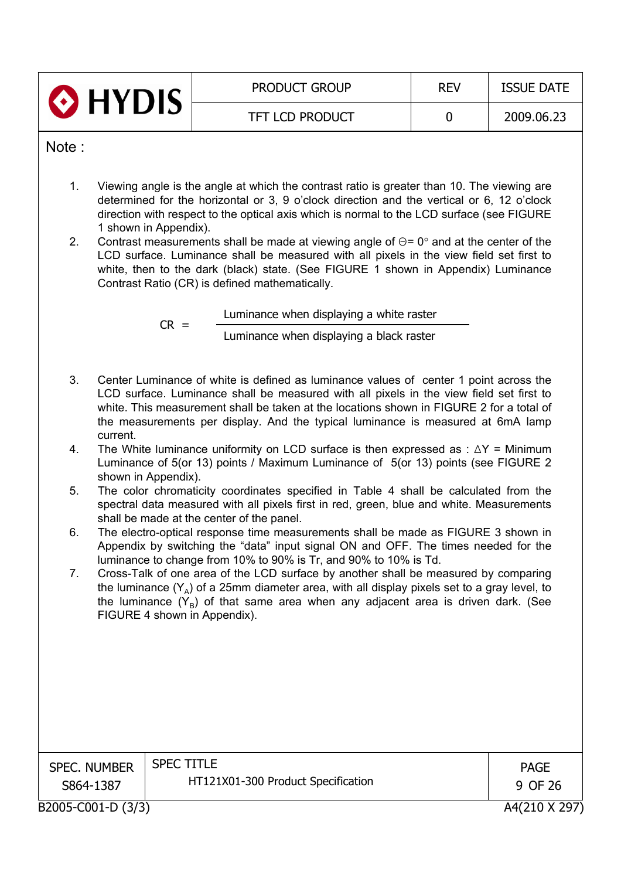|       | O HYDIS               | <b>PRODUCT GROUP</b>                                                                                                                                                                                                                                                                                                                                            | <b>REV</b>  | <b>ISSUE DATE</b> |
|-------|-----------------------|-----------------------------------------------------------------------------------------------------------------------------------------------------------------------------------------------------------------------------------------------------------------------------------------------------------------------------------------------------------------|-------------|-------------------|
|       |                       | <b>TFT LCD PRODUCT</b>                                                                                                                                                                                                                                                                                                                                          | $\mathbf 0$ | 2009.06.23        |
| Note: |                       |                                                                                                                                                                                                                                                                                                                                                                 |             |                   |
| 1.    |                       | Viewing angle is the angle at which the contrast ratio is greater than 10. The viewing are<br>determined for the horizontal or 3, 9 o'clock direction and the vertical or 6, 12 o'clock<br>direction with respect to the optical axis which is normal to the LCD surface (see FIGURE                                                                            |             |                   |
| 2.    | 1 shown in Appendix). | Contrast measurements shall be made at viewing angle of $\Theta$ = 0° and at the center of the<br>LCD surface. Luminance shall be measured with all pixels in the view field set first to<br>white, then to the dark (black) state. (See FIGURE 1 shown in Appendix) Luminance<br>Contrast Ratio (CR) is defined mathematically.                                |             |                   |
|       | $CR =$                | Luminance when displaying a white raster                                                                                                                                                                                                                                                                                                                        |             |                   |
|       |                       | Luminance when displaying a black raster                                                                                                                                                                                                                                                                                                                        |             |                   |
| 3.    | current.              | Center Luminance of white is defined as luminance values of center 1 point across the<br>LCD surface. Luminance shall be measured with all pixels in the view field set first to<br>white. This measurement shall be taken at the locations shown in FIGURE 2 for a total of<br>the measurements per display. And the typical luminance is measured at 6mA lamp |             |                   |
| 4.    | shown in Appendix).   | The White luminance uniformity on LCD surface is then expressed as : $\Delta Y$ = Minimum<br>Luminance of 5(or 13) points / Maximum Luminance of 5(or 13) points (see FIGURE 2                                                                                                                                                                                  |             |                   |
| 5.    |                       | The color chromaticity coordinates specified in Table 4 shall be calculated from the<br>spectral data measured with all pixels first in red, green, blue and white. Measurements<br>shall be made at the center of the panel.                                                                                                                                   |             |                   |
| 6.    |                       | The electro-optical response time measurements shall be made as FIGURE 3 shown in<br>Appendix by switching the "data" input signal ON and OFF. The times needed for the<br>luminance to change from 10% to 90% is Tr, and 90% to 10% is Td.                                                                                                                     |             |                   |
| 7.    |                       | Cross-Talk of one area of the LCD surface by another shall be measured by comparing<br>the luminance $(Y_A)$ of a 25mm diameter area, with all display pixels set to a gray level, to<br>the luminance $(Y_R)$ of that same area when any adjacent area is driven dark. (See<br>FIGURE 4 shown in Appendix).                                                    |             |                   |
|       |                       |                                                                                                                                                                                                                                                                                                                                                                 |             |                   |
|       |                       |                                                                                                                                                                                                                                                                                                                                                                 |             |                   |
|       |                       |                                                                                                                                                                                                                                                                                                                                                                 |             |                   |
|       | <b>SPEC. NUMBER</b>   | <b>SPEC TITLE</b>                                                                                                                                                                                                                                                                                                                                               |             | <b>PAGE</b>       |
|       | S864-1387             | HT121X01-300 Product Specification                                                                                                                                                                                                                                                                                                                              |             | 9 OF 26           |
|       | B2005-C001-D (3/3)    |                                                                                                                                                                                                                                                                                                                                                                 |             | A4(210 X 297)     |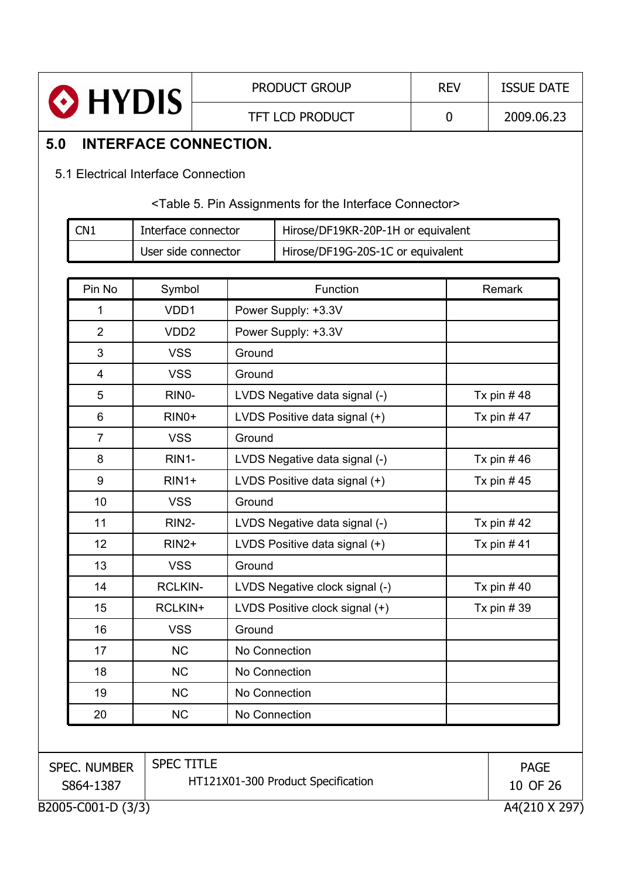|     |                           |                                     | <b>PRODUCT GROUP</b>   |                                                                                     | <b>REV</b>  | <b>ISSUE DATE</b>       |
|-----|---------------------------|-------------------------------------|------------------------|-------------------------------------------------------------------------------------|-------------|-------------------------|
|     | $\odot$ HYDIS             |                                     | <b>TFT LCD PRODUCT</b> |                                                                                     | $\mathbf 0$ | 2009.06.23              |
| 5.0 |                           | <b>INTERFACE CONNECTION.</b>        |                        |                                                                                     |             |                         |
|     |                           | 5.1 Electrical Interface Connection |                        |                                                                                     |             |                         |
|     |                           |                                     |                        |                                                                                     |             |                         |
|     |                           |                                     |                        | <table 5.="" assignments="" connector="" for="" interface="" pin="" the=""></table> |             |                         |
|     | CN <sub>1</sub>           | Interface connector                 |                        | Hirose/DF19KR-20P-1H or equivalent                                                  |             |                         |
|     |                           | User side connector                 |                        | Hirose/DF19G-20S-1C or equivalent                                                   |             |                         |
|     | Pin No                    |                                     |                        | Function                                                                            |             | Remark                  |
|     |                           | Symbol<br>VDD1                      |                        |                                                                                     |             |                         |
|     | 1                         |                                     |                        | Power Supply: +3.3V                                                                 |             |                         |
|     | $\overline{2}$<br>3       | VDD <sub>2</sub>                    |                        | Power Supply: +3.3V                                                                 |             |                         |
|     |                           | <b>VSS</b><br><b>VSS</b>            | Ground<br>Ground       |                                                                                     |             |                         |
|     | 4<br>5                    | RINO-                               |                        |                                                                                     |             |                         |
|     | 6                         | RIN <sub>0</sub> +                  |                        | LVDS Negative data signal (-)                                                       |             | Tx pin $#48$            |
|     | $\overline{7}$            | <b>VSS</b>                          | Ground                 | LVDS Positive data signal (+)<br>Tx pin $#47$                                       |             |                         |
|     | 8                         | RIN1-                               |                        |                                                                                     |             | Tx pin $#46$            |
|     | 9                         | $RIN1+$                             |                        | LVDS Negative data signal (-)                                                       |             |                         |
|     | 10                        | <b>VSS</b>                          | Ground                 | LVDS Positive data signal (+)                                                       |             | Tx pin $#45$            |
|     | 11                        | RIN2-                               |                        | LVDS Negative data signal (-)                                                       |             | Tx pin $#42$            |
|     | 12                        | RIN <sub>2</sub> +                  |                        | LVDS Positive data signal (+)                                                       |             | Tx pin $#41$            |
|     | 13                        | <b>VSS</b>                          | Ground                 |                                                                                     |             |                         |
|     | 14                        | <b>RCLKIN-</b>                      |                        | LVDS Negative clock signal (-)                                                      |             | Tx pin $#40$            |
|     | 15                        | RCLKIN+                             |                        | LVDS Positive clock signal (+)                                                      |             | Tx pin $#39$            |
|     | 16                        | <b>VSS</b>                          | Ground                 |                                                                                     |             |                         |
|     | 17                        | <b>NC</b>                           | No Connection          |                                                                                     |             |                         |
|     | 18                        | <b>NC</b>                           | No Connection          |                                                                                     |             |                         |
|     | 19                        | <b>NC</b>                           | No Connection          |                                                                                     |             |                         |
|     | 20                        | <b>NC</b>                           | No Connection          |                                                                                     |             |                         |
|     |                           |                                     |                        |                                                                                     |             |                         |
|     |                           | <b>SPEC TITLE</b>                   |                        |                                                                                     |             |                         |
|     | SPEC. NUMBER<br>S864-1387 |                                     |                        | HT121X01-300 Product Specification                                                  |             | <b>PAGE</b><br>10 OF 26 |
|     | B2005-C001-D (3/3)        |                                     |                        |                                                                                     |             | A4(210 X 297)           |

 $\overline{\mathbf{r}}$ 

Ē

 $\overline{1}$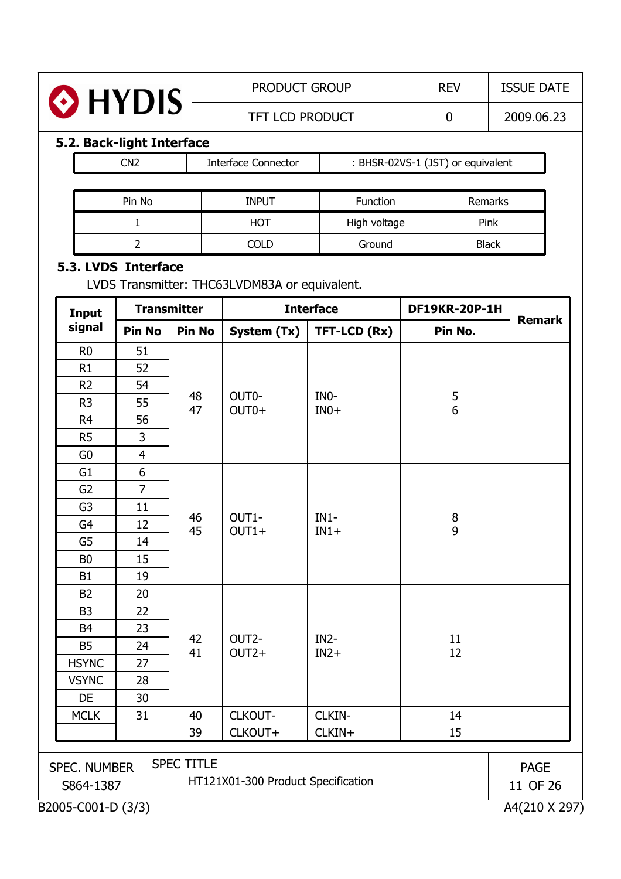| HYDIS | <b>PRODUCT GROUP</b>   | <b>REV</b> | <b>ISSUE DATE</b> |
|-------|------------------------|------------|-------------------|
|       | <b>TFT LCD PRODUCT</b> |            | 2009.06.23        |

## **5.2. Back-light Interface**

| Pin No | <b>INPUT</b> | <b>Function</b> | Remarks      |
|--------|--------------|-----------------|--------------|
|        | HOT          | High voltage    | Pink         |
|        | COLD         | Ground          | <b>Black</b> |

#### **5.3. LVDS Interface**

LVDS Transmitter: THC63LVDM83A or equivalent.

| <b>Input</b>                     |                | <b>Transmitter</b> |                                    | <b>Interface</b><br><b>DF19KR-20P-1H</b> |               |                         |  |  |
|----------------------------------|----------------|--------------------|------------------------------------|------------------------------------------|---------------|-------------------------|--|--|
| signal                           | <b>Pin No</b>  | <b>Pin No</b>      | System (Tx)                        | TFT-LCD (Rx)                             | Pin No.       | <b>Remark</b>           |  |  |
| R <sub>0</sub>                   | 51             |                    |                                    |                                          |               |                         |  |  |
| R1                               | 52             |                    |                                    |                                          |               |                         |  |  |
| R <sub>2</sub>                   | 54             |                    |                                    |                                          |               |                         |  |  |
| R <sub>3</sub>                   | 55             | 48<br>47           | OUT0-<br>OUT0+                     | INO-<br>$IN0+$                           | $\frac{5}{6}$ |                         |  |  |
| R <sub>4</sub>                   | 56             |                    |                                    |                                          |               |                         |  |  |
| R <sub>5</sub>                   | 3              |                    |                                    |                                          |               |                         |  |  |
| G <sub>0</sub>                   | $\overline{4}$ |                    |                                    |                                          |               |                         |  |  |
| G <sub>1</sub>                   | 6              |                    |                                    |                                          |               |                         |  |  |
| G <sub>2</sub>                   | $\overline{7}$ |                    |                                    |                                          |               |                         |  |  |
| G <sub>3</sub>                   | 11             |                    |                                    |                                          |               |                         |  |  |
| G <sub>4</sub>                   | 12             | 46<br>45           | OUT1-<br>$OUT1+$                   | $IN1-$<br>$IN1+$                         | $\bf 8$<br>9  |                         |  |  |
| G <sub>5</sub>                   | 14             |                    |                                    |                                          |               |                         |  |  |
| B <sub>0</sub>                   | 15             |                    |                                    |                                          |               |                         |  |  |
| B <sub>1</sub>                   | 19             |                    |                                    |                                          |               |                         |  |  |
| <b>B2</b>                        | 20             |                    |                                    |                                          |               |                         |  |  |
| B <sub>3</sub>                   | 22             |                    |                                    |                                          |               |                         |  |  |
| B <sub>4</sub>                   | 23             |                    |                                    |                                          |               |                         |  |  |
| <b>B5</b>                        | 24             | 42<br>41           | OUT <sub>2</sub> -<br>$OUT2+$      | $IN2-$<br>$IN2+$                         | 11<br>12      |                         |  |  |
| <b>HSYNC</b>                     | 27             |                    |                                    |                                          |               |                         |  |  |
| <b>VSYNC</b>                     | 28             |                    |                                    |                                          |               |                         |  |  |
| DE                               | 30             |                    |                                    |                                          |               |                         |  |  |
| <b>MCLK</b>                      | 31             | 40                 | CLKOUT-                            | CLKIN-                                   | 14            |                         |  |  |
|                                  |                | 39                 | CLKOUT+                            | CLKIN+                                   | 15            |                         |  |  |
| <b>SPEC. NUMBER</b><br>S864-1387 |                | <b>SPEC TITLE</b>  | HT121X01-300 Product Specification |                                          |               | <b>PAGE</b><br>11 OF 26 |  |  |
| B2005-C001-D (3/3)               |                |                    |                                    |                                          |               | A4(210 X 297)           |  |  |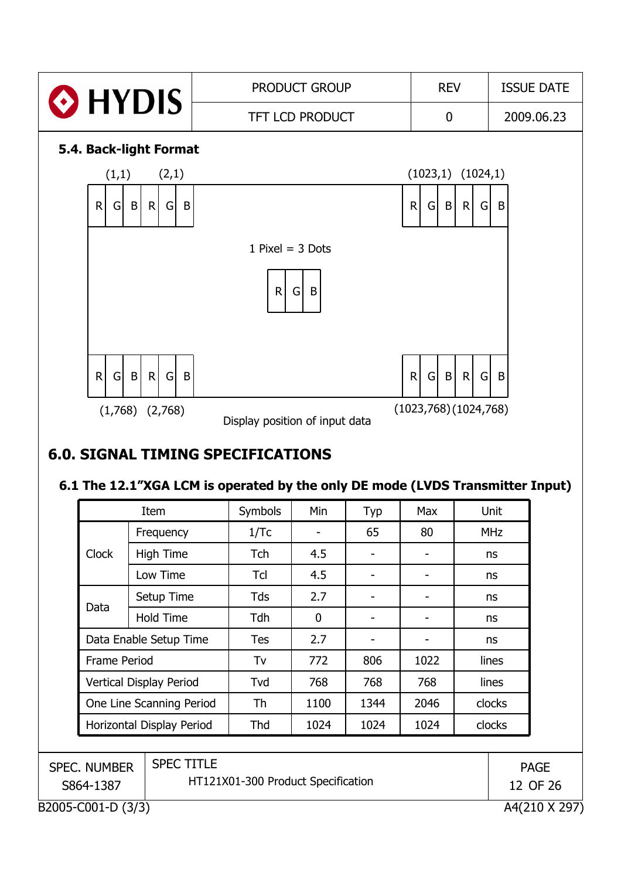

## **6.0. SIGNAL TIMING SPECIFICATIONS**

#### **6.1 The 12.1"XGA LCM is operated by the only DE mode (LVDS Transmitter Input)**

| <b>Item</b>               |                  | Symbols    | Min  | Typ  | <b>Max</b> | Unit       |
|---------------------------|------------------|------------|------|------|------------|------------|
|                           | Frequency        | 1/Tc       |      | 65   | 80         | <b>MHz</b> |
| <b>Clock</b>              | <b>High Time</b> | <b>Tch</b> | 4.5  |      |            | ns         |
|                           | Low Time         | Td         | 4.5  |      |            | ns         |
|                           | Setup Time       | Tds        | 2.7  |      |            | ns         |
| Data                      | <b>Hold Time</b> | Tdh        | 0    |      |            | ns         |
| Data Enable Setup Time    |                  | <b>Tes</b> | 2.7  |      |            | ns         |
| Frame Period              |                  | Tv         | 772  | 806  | 1022       | lines      |
| Vertical Display Period   |                  | Tvd        | 768  | 768  | 768        | lines      |
| One Line Scanning Period  |                  | Th         | 1100 | 1344 | 2046       | clocks     |
| Horizontal Display Period |                  | Thd        | 1024 | 1024 | 1024       | clocks     |

| <b>SPEC. NUMBER</b> | <b>SPEC TITLE</b>                  | <b>PAGE</b>   |
|---------------------|------------------------------------|---------------|
| S864-1387           | HT121X01-300 Product Specification | 12 OF 26      |
| B2005-C001-D (3/3)  |                                    | A4(210 X 297) |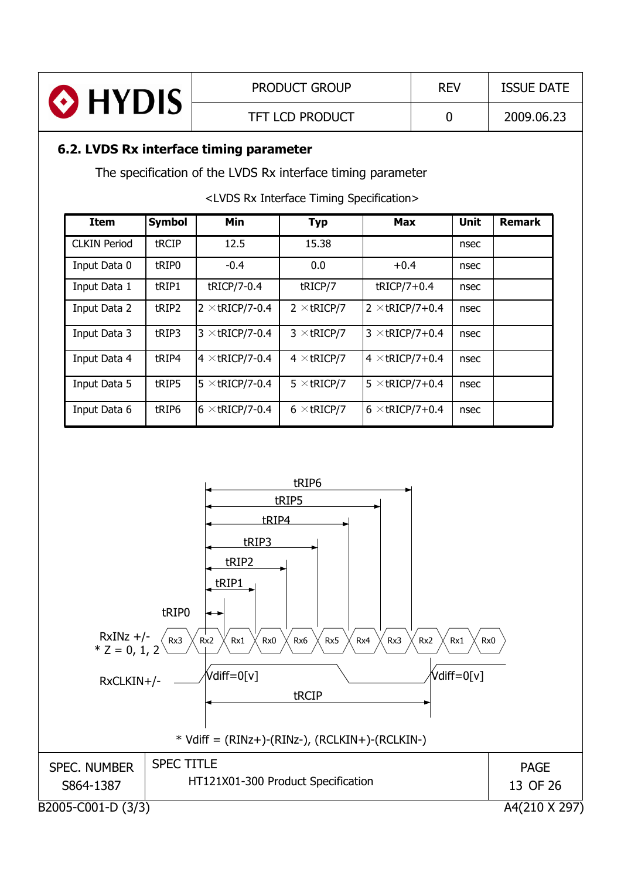| HYDIS      | <b>PRODUCT GROUP</b>   | <b>REV</b> | <b>ISSUE DATE</b> |
|------------|------------------------|------------|-------------------|
|            | <b>TFT LCD PRODUCT</b> |            | 2009.06.23        |
| ---------- |                        |            |                   |

#### **6.2. LVDS Rx interface timing parameter**

The specification of the LVDS Rx interface timing parameter

<LVDS Rx Interface Timing Specification>

| <b>Item</b>         | <b>Symbol</b> | Min                    | <b>Typ</b>         | <b>Max</b>             | Unit | <b>Remark</b> |
|---------------------|---------------|------------------------|--------------------|------------------------|------|---------------|
| <b>CLKIN Period</b> | tRCIP         | 12.5                   | 15.38              |                        | nsec |               |
| Input Data 0        | tRIP0         | $-0.4$                 | 0.0                | $+0.4$                 | nsec |               |
| Input Data 1        | tRIP1         | tRICP/7-0.4            | tRICP/7            | $tRICP/7+0.4$          | nsec |               |
| Input Data 2        | tRIP2         | $2 \times$ tricp/7-0.4 | $2 \times tRICP/7$ | $2 \times$ tRICP/7+0.4 | nsec |               |
| Input Data 3        | tRIP3         | $3 \times$ tRICP/7-0.4 | $3 \times$ tricp/7 | $3 \times$ tRICP/7+0.4 | nsec |               |
| Input Data 4        | tRIP4         | $4 \times$ tricp/7-0.4 | $4 \times$ tricp/7 | $4 \times$ tRICP/7+0.4 | nsec |               |
| Input Data 5        | tRIP5         | $5 \times$ tRICP/7-0.4 | $5 \times$ tricp/7 | $5 \times$ tRICP/7+0.4 | nsec |               |
| Input Data 6        | tRIP6         | $6 \times$ tricp/7-0.4 | $6 \times$ tricp/7 | $6 \times$ tRICP/7+0.4 | nsec |               |

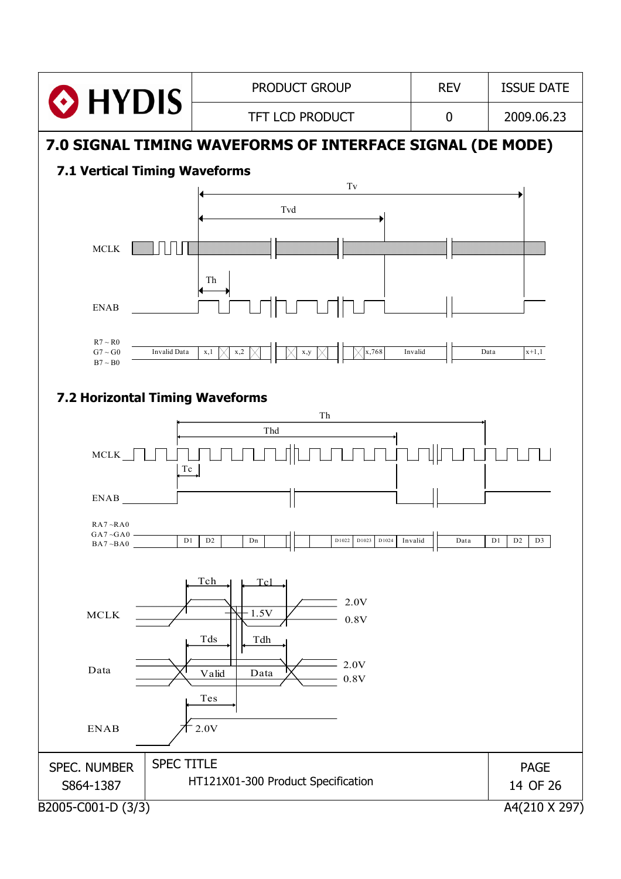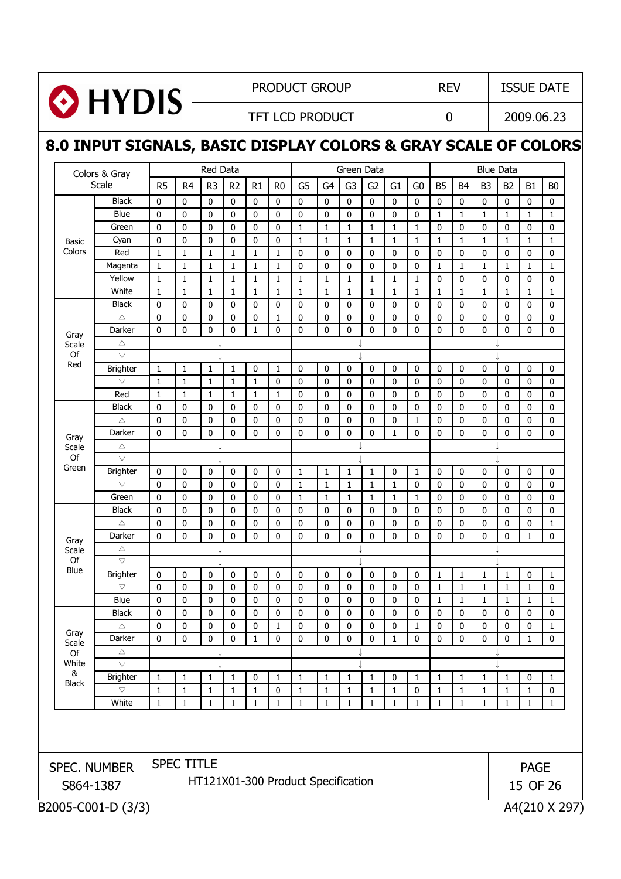

#### PRODUCT GROUP REV | ISSUE DATE

TFT LCD PRODUCT  $\begin{array}{|c|c|c|c|c|c|c|c|c|} \hline 0 & 2009.06.23 \end{array}$ 

## **8.0 INPUT SIGNALS, BASIC DISPLAY COLORS & GRAY SCALE OF COLORS**

| Colors & Gray      |                                                             |                                                                       | Red Data                                         |                                                                   |                                                                        |                                                       |                                                                         |                                                   | Green Data                             |                                                                                            |                  |                                               |                                                   |                                                           | <b>Blue Data</b>                                |                                                             |                                                             |                                                                          |
|--------------------|-------------------------------------------------------------|-----------------------------------------------------------------------|--------------------------------------------------|-------------------------------------------------------------------|------------------------------------------------------------------------|-------------------------------------------------------|-------------------------------------------------------------------------|---------------------------------------------------|----------------------------------------|--------------------------------------------------------------------------------------------|------------------|-----------------------------------------------|---------------------------------------------------|-----------------------------------------------------------|-------------------------------------------------|-------------------------------------------------------------|-------------------------------------------------------------|--------------------------------------------------------------------------|
| Scale              | R <sub>5</sub>                                              | R <sub>4</sub>                                                        | R <sub>3</sub>                                   | R <sub>2</sub>                                                    | R1                                                                     | R <sub>0</sub>                                        | G <sub>5</sub>                                                          | G <sub>4</sub>                                    | G <sub>3</sub>                         | G <sub>2</sub>                                                                             | G1               | G <sub>0</sub>                                | <b>B5</b>                                         | <b>B4</b>                                                 | B <sub>3</sub>                                  | B <sub>2</sub>                                              | <b>B1</b>                                                   | B <sub>0</sub>                                                           |
| <b>Black</b>       | $\pmb{0}$                                                   | 0                                                                     | 0                                                | 0                                                                 | 0                                                                      | 0                                                     | $\pmb{0}$                                                               | $\mathbf 0$                                       | $\mathbf 0$                            | $\mathbf 0$                                                                                | 0                | 0                                             | 0                                                 | 0                                                         | $\mathbf 0$                                     | $\mathbf 0$                                                 | $\mathbf 0$                                                 | $\mathbf 0$                                                              |
| Blue               | $\pmb{0}$                                                   | $\mathbf 0$                                                           | $\mathbf 0$                                      | 0                                                                 | $\mathbf 0$                                                            | $\mathbf 0$                                           | $\pmb{0}$                                                               | $\mathbf 0$                                       | $\pmb{0}$                              | $\mathbf 0$                                                                                | 0                | $\mathbf 0$                                   | $\mathbf{1}$                                      | $1\,$                                                     | $\mathbf{1}$                                    | $\mathbf{1}$                                                | $\mathbf{1}$                                                | 1                                                                        |
|                    |                                                             |                                                                       |                                                  |                                                                   |                                                                        |                                                       |                                                                         |                                                   |                                        |                                                                                            |                  |                                               |                                                   |                                                           |                                                 |                                                             |                                                             | 0                                                                        |
|                    |                                                             |                                                                       | 0                                                |                                                                   | 0                                                                      | $\mathbf 0$                                           |                                                                         |                                                   |                                        |                                                                                            |                  |                                               |                                                   |                                                           |                                                 | $\mathbf{1}$                                                |                                                             | 1                                                                        |
|                    |                                                             |                                                                       |                                                  |                                                                   |                                                                        |                                                       | 0                                                                       | 0                                                 |                                        | 0                                                                                          |                  | 0                                             | $\mathbf 0$                                       | 0                                                         |                                                 | $\mathbf 0$                                                 | $\mathbf 0$                                                 | 0                                                                        |
|                    |                                                             |                                                                       |                                                  |                                                                   |                                                                        |                                                       | $\mathbf 0$                                                             | 0                                                 |                                        | 0                                                                                          |                  | 0                                             |                                                   |                                                           |                                                 |                                                             |                                                             | $\mathbf{1}$                                                             |
| Yellow             |                                                             |                                                                       |                                                  |                                                                   |                                                                        |                                                       |                                                                         |                                                   |                                        |                                                                                            |                  |                                               | $\mathbf 0$                                       |                                                           |                                                 |                                                             |                                                             | 0                                                                        |
|                    |                                                             |                                                                       |                                                  |                                                                   |                                                                        |                                                       |                                                                         |                                                   |                                        |                                                                                            |                  |                                               |                                                   |                                                           |                                                 |                                                             |                                                             | $\mathbf{1}$                                                             |
| <b>Black</b>       | 0                                                           | $\mathbf 0$                                                           | 0                                                | 0                                                                 | $\mathbf{0}$                                                           | $\mathbf 0$                                           | $\mathbf 0$                                                             | 0                                                 | 0                                      | 0                                                                                          | 0                | 0                                             | $\mathbf 0$                                       | 0                                                         | 0                                               | $\mathbf 0$                                                 | 0                                                           | 0                                                                        |
| $\triangle$        | 0                                                           | 0                                                                     | 0                                                | 0                                                                 | 0                                                                      | $\mathbf{1}$                                          | $\mathbf 0$                                                             | 0                                                 | 0                                      | 0                                                                                          | 0                | 0                                             | 0                                                 | 0                                                         | 0                                               | 0                                                           | $\mathbf 0$                                                 | 0                                                                        |
| Darker             | $\mathbf 0$                                                 | $\mathbf 0$                                                           | 0                                                | 0                                                                 | 1                                                                      | $\pmb{0}$                                             | 0                                                                       | $\mathbf 0$                                       |                                        | $\mathbf{0}$                                                                               | 0                | 0                                             | 0                                                 | 0                                                         | $\pmb{0}$                                       | $\mathbf 0$                                                 | $\mathbf 0$                                                 | $\mathbf 0$                                                              |
| $\triangle$        |                                                             |                                                                       |                                                  |                                                                   |                                                                        |                                                       |                                                                         |                                                   |                                        |                                                                                            |                  |                                               |                                                   |                                                           |                                                 |                                                             |                                                             |                                                                          |
| $\bigtriangledown$ |                                                             |                                                                       |                                                  |                                                                   |                                                                        |                                                       |                                                                         |                                                   |                                        |                                                                                            |                  |                                               |                                                   |                                                           |                                                 |                                                             |                                                             |                                                                          |
| <b>Brighter</b>    | 1                                                           | 1                                                                     | 1                                                | $\mathbf{1}$                                                      | 0                                                                      | 1                                                     | 0                                                                       | 0                                                 | $\mathbf 0$                            | 0                                                                                          | 0                | 0                                             | 0                                                 | 0                                                         | 0                                               | 0                                                           | 0                                                           | 0                                                                        |
| $\bigtriangledown$ | $\mathbf{1}$                                                | 1                                                                     | $\mathbf{1}$                                     | $\mathbf{1}$                                                      | 1                                                                      | $\mathbf 0$                                           | 0                                                                       | 0                                                 | 0                                      | 0                                                                                          | 0                | 0                                             | $\mathbf 0$                                       | 0                                                         | $\mathbf 0$                                     | 0                                                           | $\mathbf 0$                                                 | 0                                                                        |
| Red                | $\mathbf{1}$                                                | 1                                                                     | $\mathbf{1}$                                     | 1                                                                 | 1                                                                      | $\mathbf{1}$                                          | 0                                                                       | 0                                                 | 0                                      | 0                                                                                          | 0                | 0                                             | $\mathbf 0$                                       | 0                                                         | 0                                               | 0                                                           | 0                                                           | 0                                                                        |
| <b>Black</b>       | 0                                                           | 0                                                                     | 0                                                | 0                                                                 | 0                                                                      | $\mathbf 0$                                           | 0                                                                       | 0                                                 | 0                                      | 0                                                                                          | 0                | 0                                             | $\mathbf 0$                                       | 0                                                         | 0                                               | 0                                                           | 0                                                           | 0                                                                        |
| $\triangle$        | 0                                                           | 0                                                                     | 0                                                | 0                                                                 | 0                                                                      | 0                                                     | 0                                                                       | 0                                                 | 0                                      | 0                                                                                          | 0                | 1                                             | 0                                                 | 0                                                         | 0                                               | 0                                                           | 0                                                           | 0                                                                        |
| Darker             | 0                                                           | 0                                                                     | 0                                                | 0                                                                 | 0                                                                      | 0                                                     | 0                                                                       | 0                                                 | 0                                      | 0                                                                                          | 1                | 0                                             | 0                                                 | 0                                                         | 0                                               | $\mathbf 0$                                                 | 0                                                           | 0                                                                        |
| $\triangle$        |                                                             |                                                                       |                                                  |                                                                   |                                                                        |                                                       |                                                                         |                                                   |                                        |                                                                                            |                  |                                               |                                                   |                                                           |                                                 |                                                             |                                                             |                                                                          |
| $\bigtriangledown$ |                                                             |                                                                       |                                                  |                                                                   |                                                                        |                                                       |                                                                         |                                                   |                                        |                                                                                            |                  |                                               |                                                   |                                                           |                                                 |                                                             |                                                             |                                                                          |
|                    | 0                                                           | $\mathbf 0$                                                           | 0                                                | 0                                                                 | 0                                                                      | $\mathbf 0$                                           | 1                                                                       | 1                                                 | 1                                      | 1                                                                                          | 0                | 1                                             | $\mathbf 0$                                       | $\mathbf 0$                                               | $\bf{0}$                                        | $\mathbf 0$                                                 | $\mathbf 0$                                                 | 0                                                                        |
| $\bigtriangledown$ | 0                                                           | 0                                                                     | 0                                                | 0                                                                 | 0                                                                      | $\mathbf 0$                                           | 1                                                                       | 1                                                 | $\mathbf{1}$                           | 1                                                                                          | $\mathbf{1}$     | 0                                             | $\mathbf 0$                                       | 0                                                         | $\bf{0}$                                        | $\bf 0$                                                     | $\mathbf 0$                                                 | 0                                                                        |
| Green              | 0                                                           | 0                                                                     | 0                                                | 0                                                                 | 0                                                                      | $\mathbf 0$                                           | 1                                                                       | 1                                                 | $\mathbf{1}$                           | $\mathbf{1}$                                                                               | 1                | 1                                             | $\mathbf 0$                                       | 0                                                         | 0                                               | $\mathbf 0$                                                 | $\mathbf 0$                                                 | 0                                                                        |
| <b>Black</b>       | 0                                                           | $\mathbf 0$                                                           | 0                                                | 0                                                                 | 0                                                                      | $\mathbf 0$                                           | $\mathbf 0$                                                             | 0                                                 | 0                                      | 0                                                                                          | 0                | 0                                             | $\mathbf 0$                                       | $\mathbf 0$                                               | 0                                               | $\mathbf 0$                                                 | 0                                                           | 0                                                                        |
| Δ                  | $\bf{0}$                                                    | 0                                                                     | 0                                                | 0                                                                 | 0                                                                      | $\bf{0}$                                              | 0                                                                       | 0                                                 | 0                                      | 0                                                                                          | 0                | 0                                             | $\mathbf 0$                                       | 0                                                         | 0                                               | 0                                                           | 0                                                           | 1                                                                        |
| Darker             | 0                                                           | $\mathbf 0$                                                           | 0                                                | 0                                                                 | $\mathbf{0}$                                                           | $\mathbf 0$                                           | 0                                                                       | $\mathbf 0$                                       | $\mathbf 0$                            | 0                                                                                          | 0                | $\Omega$                                      | $\mathbf 0$                                       | 0                                                         | $\mathbf 0$                                     | $\mathbf 0$                                                 | $\mathbf{1}$                                                | 0                                                                        |
| Δ                  |                                                             |                                                                       |                                                  |                                                                   |                                                                        |                                                       |                                                                         |                                                   |                                        |                                                                                            |                  |                                               |                                                   |                                                           |                                                 |                                                             |                                                             |                                                                          |
| $\bigtriangledown$ |                                                             |                                                                       |                                                  |                                                                   |                                                                        |                                                       |                                                                         |                                                   |                                        |                                                                                            |                  |                                               |                                                   |                                                           |                                                 |                                                             |                                                             |                                                                          |
| <b>Brighter</b>    | $\pmb{0}$                                                   | 0                                                                     | 0                                                | 0                                                                 | $\mathbf 0$                                                            | $\mathbf 0$                                           | $\mathbf 0$                                                             | $\pmb{0}$                                         | $\bf{0}$                               | 0                                                                                          | 0                | 0                                             | $\mathbf{1}$                                      | 1                                                         | 1                                               | 1                                                           | 0                                                           | 1                                                                        |
| $\bigtriangledown$ | $\pmb{0}$                                                   | $\mathbf 0$                                                           | 0                                                | 0                                                                 | 0                                                                      | $\mathbf 0$                                           | $\mathbf 0$                                                             | $\mathbf 0$                                       | $\mathbf 0$                            | 0                                                                                          | 0                | 0                                             | $\mathbf{1}$                                      | $1\,$                                                     | $\mathbf{1}$                                    | 1                                                           | $\mathbf{1}$                                                | 0                                                                        |
| Blue               | 0                                                           | 0                                                                     | 0                                                | 0                                                                 | 0                                                                      | $\mathbf 0$                                           | 0                                                                       | 0                                                 | $\mathbf 0$                            | 0                                                                                          | 0                | 0                                             | 1                                                 | 1                                                         | 1                                               | 1                                                           | $\mathbf{1}$                                                | 1                                                                        |
| <b>Black</b>       | 0                                                           | 0                                                                     | 0                                                | 0                                                                 | 0                                                                      | $\bf{0}$                                              | 0                                                                       | 0                                                 | $\mathbf 0$                            | 0                                                                                          | 0                | 0                                             | $\bf{0}$                                          | 0                                                         | 0                                               | $\mathbf 0$                                                 | $\mathbf 0$                                                 | 0                                                                        |
| $\triangle$        | $\mathbf{0}$                                                | 0                                                                     | 0                                                | 0                                                                 | $\mathbf 0$                                                            | $\mathbf{1}$                                          | 0                                                                       | $\mathbf 0$                                       | $\mathbf 0$                            | 0                                                                                          | 0                | $\mathbf{1}$                                  | $\mathbf 0$                                       | $\mathbf 0$                                               | $\mathbf 0$                                     | $\mathbf{0}$                                                | $\mathbf 0$                                                 | $\mathbf{1}$                                                             |
| Darker             | 0                                                           | 0                                                                     | 0                                                | 0                                                                 | 1                                                                      | $\mathbf 0$                                           | 0                                                                       | 0                                                 | 0                                      | 0                                                                                          | 1                | 0                                             | $\mathbf 0$                                       | $\mathbf 0$                                               | $\mathbf 0$                                     | 0                                                           | $\mathbf{1}$                                                | 0                                                                        |
| Δ                  |                                                             |                                                                       |                                                  |                                                                   |                                                                        |                                                       |                                                                         |                                                   |                                        |                                                                                            |                  |                                               |                                                   |                                                           |                                                 |                                                             |                                                             |                                                                          |
| $\bigtriangledown$ |                                                             |                                                                       |                                                  |                                                                   |                                                                        |                                                       |                                                                         |                                                   |                                        |                                                                                            |                  |                                               |                                                   |                                                           |                                                 |                                                             |                                                             |                                                                          |
|                    | 1                                                           | 1                                                                     | 1                                                | 1                                                                 | 0                                                                      | 1                                                     | 1                                                                       | 1                                                 | 1                                      | 1                                                                                          | 0                | 1                                             | 1                                                 | 1                                                         | 1                                               | 1                                                           | 0                                                           | 1                                                                        |
| <b>Brighter</b>    |                                                             |                                                                       |                                                  |                                                                   |                                                                        |                                                       |                                                                         |                                                   |                                        |                                                                                            |                  |                                               |                                                   |                                                           |                                                 |                                                             |                                                             |                                                                          |
| $\bigtriangledown$ | $\mathbf 1$                                                 | 1                                                                     | 1                                                | $\mathbf{1}$                                                      | $\mathbf 1$                                                            | $\pmb{0}$                                             | 1                                                                       | $\mathbf{1}$                                      | 1                                      | 1                                                                                          | $\mathbf 1$      | 0                                             | $\mathbf 1$                                       | 1                                                         | 1                                               | 1                                                           | 1                                                           | 0                                                                        |
|                    | Green<br>Cyan<br>Red<br>Magenta<br>White<br><b>Brighter</b> | $\pmb{0}$<br>0<br>$\mathbf{1}$<br>$\mathbf 1$<br>$1\,$<br>$\mathbf 1$ | 0<br>0<br>1<br>$\mathbf{1}$<br>$\mathbf{1}$<br>1 | 0<br>$\mathbf{1}$<br>$\mathbf{1}$<br>$\mathbf{1}$<br>$\mathbf{1}$ | 0<br>0<br>$\mathbf{1}$<br>$\mathbf{1}$<br>$\mathbf{1}$<br>$\mathbf{1}$ | 0<br>1<br>$\mathbf{1}$<br>$\mathbf{1}$<br>$\mathbf 1$ | $\bf{0}$<br>$\mathbf{1}$<br>$\mathbf 1$<br>$\mathbf{1}$<br>$\mathbf{1}$ | $\mathbf{1}$<br>1<br>$\mathbf{1}$<br>$\mathbf{1}$ | $\mathbf{1}$<br>1<br>1<br>$\mathbf{1}$ | $\mathbf{1}$<br>$\mathbf{1}$<br>$\bf{0}$<br>0<br>$\mathbf{1}$<br>$\mathbf{1}$<br>$\pmb{0}$ | 1<br>1<br>1<br>1 | $1\,$<br>$1\,$<br>0<br>0<br>1<br>$\mathbf{1}$ | $\mathbf{1}$<br>1<br>$\mathbf{1}$<br>$\mathbf{1}$ | $\mathbf 0$<br>$\mathbf{1}$<br>$\mathbf 1$<br>$\mathbf 1$ | 0<br>$\mathbf{1}$<br>$1\,$<br>0<br>$\mathbf{1}$ | 0<br>$\mathbf{1}$<br>0<br>$\mathbf{1}$<br>0<br>$\mathbf{1}$ | $\bf 0$<br>$\mathbf{1}$<br>$\boldsymbol{0}$<br>$\mathbf{1}$ | $\mathbf 0$<br>$\mathbf{1}$<br>$\mathbf{1}$<br>$\pmb{0}$<br>$\mathbf{1}$ |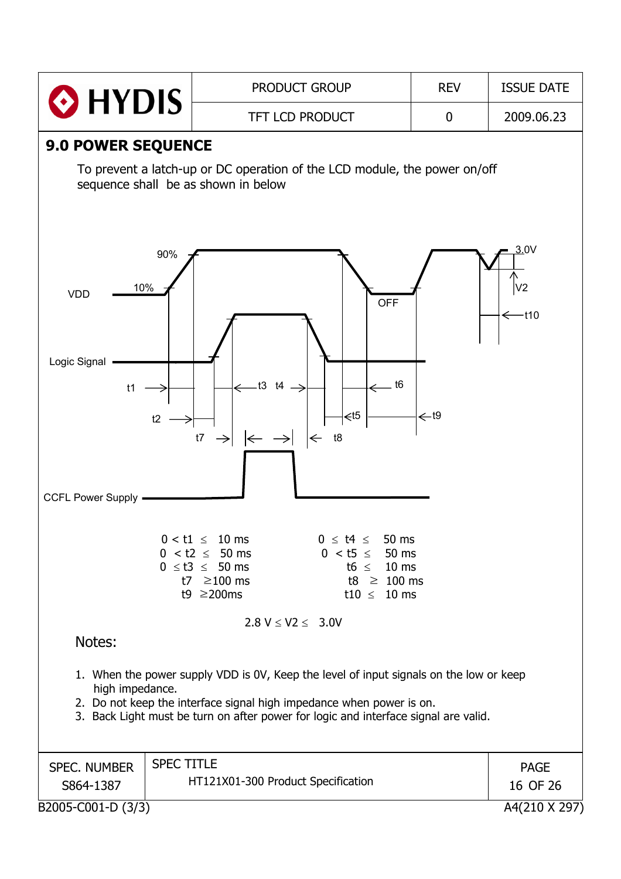|                                                                                                                                                                                                                                                                                                                                                                                                                                                                                                                                        |                                                             | <b>PRODUCT GROUP</b>                                                                                                                                 | <b>REV</b>      | <b>ISSUE DATE</b>                  |  |  |  |
|----------------------------------------------------------------------------------------------------------------------------------------------------------------------------------------------------------------------------------------------------------------------------------------------------------------------------------------------------------------------------------------------------------------------------------------------------------------------------------------------------------------------------------------|-------------------------------------------------------------|------------------------------------------------------------------------------------------------------------------------------------------------------|-----------------|------------------------------------|--|--|--|
|                                                                                                                                                                                                                                                                                                                                                                                                                                                                                                                                        | $\odot$ HYDIS<br><b>TFT LCD PRODUCT</b><br>$\boldsymbol{0}$ |                                                                                                                                                      |                 |                                    |  |  |  |
| <b>9.0 POWER SEQUENCE</b>                                                                                                                                                                                                                                                                                                                                                                                                                                                                                                              | sequence shall be as shown in below<br>90%                  | To prevent a latch-up or DC operation of the LCD module, the power on/off                                                                            |                 | 3.0V                               |  |  |  |
| 10%<br><b>VDD</b><br>Logic Signal<br>t1<br>t2<br><b>CCFL Power Supply</b>                                                                                                                                                                                                                                                                                                                                                                                                                                                              | t7<br>$\rightarrow$                                         | <b>OFF</b><br>t <sub>6</sub><br>$\leftarrow$ t3 t4 $\rightarrow$<br>$\leq$ t5<br>$\left \leftarrow\right\rightharpoonup\left $<br>$\Leftarrow$<br>t8 | $\leftarrow$ t9 | V <sub>2</sub><br>$\leftarrow$ t10 |  |  |  |
| $0 < t1 \leq 10$ ms<br>$0 \leq t4 \leq 50$ ms<br>$0 < t5 \le 50$ ms<br>$0 < t2 \le 50$ ms<br>$0 \leq t3 \leq 50$ ms<br>t6 $\leq$ 10 ms<br>t7 $\geq$ 100 ms<br>t8 $\geq$ 100 ms<br>t9 $\geq$ 200ms<br>t10 $\leq$ 10 ms<br>$2.8 V \le V2 \le 3.0V$<br>Notes:<br>1. When the power supply VDD is 0V, Keep the level of input signals on the low or keep<br>high impedance.<br>2. Do not keep the interface signal high impedance when power is on.<br>3. Back Light must be turn on after power for logic and interface signal are valid. |                                                             |                                                                                                                                                      |                 |                                    |  |  |  |
| <b>SPEC. NUMBER</b><br>S864-1387                                                                                                                                                                                                                                                                                                                                                                                                                                                                                                       | <b>SPEC TITLE</b>                                           | HT121X01-300 Product Specification                                                                                                                   |                 | <b>PAGE</b><br>16 OF 26            |  |  |  |
| B2005-C001-D (3/3)                                                                                                                                                                                                                                                                                                                                                                                                                                                                                                                     |                                                             |                                                                                                                                                      |                 | A4(210 X 297)                      |  |  |  |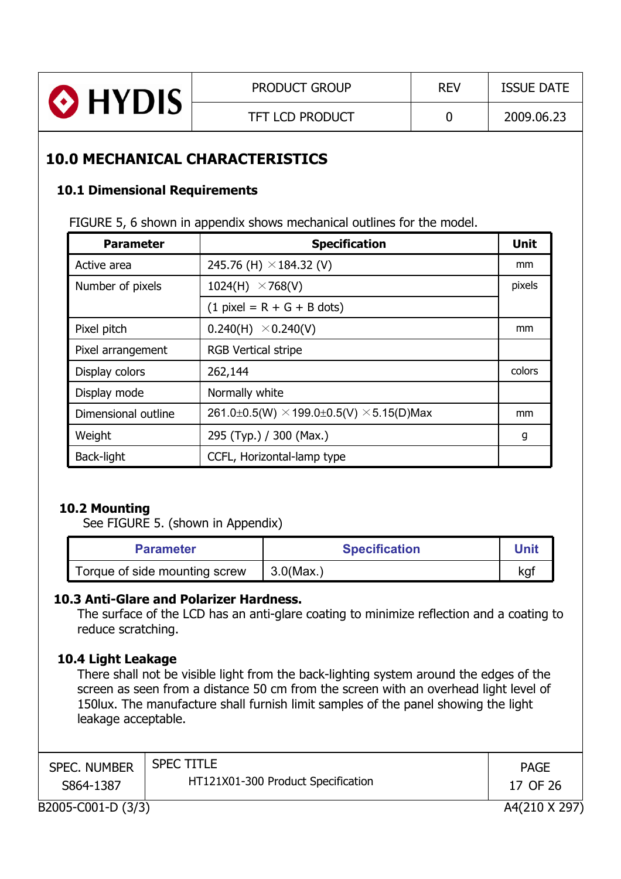| <b>TFT LCD PRODUCT</b><br>2009.06.23 | HYDIS | <b>PRODUCT GROUP</b> | <b>REV</b> | <b>ISSUE DATE</b> |
|--------------------------------------|-------|----------------------|------------|-------------------|
|                                      |       |                      |            |                   |

## **10.0 MECHANICAL CHARACTERISTICS**

#### **10.1 Dimensional Requirements**

FIGURE 5, 6 shown in appendix shows mechanical outlines for the model.

| <b>Parameter</b>    | <b>Specification</b>                                   | <b>Unit</b> |
|---------------------|--------------------------------------------------------|-------------|
| Active area         | 245.76 (H) $\times$ 184.32 (V)                         | mm          |
| Number of pixels    | 1024(H) $\times$ 768(V)                                | pixels      |
|                     | $(1$ pixel = R + G + B dots)                           |             |
| Pixel pitch         | $0.240(H) \times 0.240(V)$                             | mm          |
| Pixel arrangement   | <b>RGB Vertical stripe</b>                             |             |
| Display colors      | 262,144                                                | colors      |
| Display mode        | Normally white                                         |             |
| Dimensional outline | 261.0±0.5(W) $\times$ 199.0±0.5(V) $\times$ 5.15(D)Max | mm          |
| Weight              | 295 (Typ.) / 300 (Max.)                                | g           |
| Back-light          | CCFL, Horizontal-lamp type                             |             |

#### **10.2 Mounting**

See FIGURE 5. (shown in Appendix)

| <b>Parameter</b>              | <b>Specification</b> | Unit            |
|-------------------------------|----------------------|-----------------|
| Torque of side mounting screw | $3.0$ (Max.)         | ka <sup>.</sup> |

#### **10.3 Anti-Glare and Polarizer Hardness.**

The surface of the LCD has an anti-glare coating to minimize reflection and a coating to reduce scratching.

#### **10.4 Light Leakage**

There shall not be visible light from the back-lighting system around the edges of the screen as seen from a distance 50 cm from the screen with an overhead light level of 150lux. The manufacture shall furnish limit samples of the panel showing the light leakage acceptable.

| <b>SPEC. NUMBER</b> | <b>SPEC TITLE</b>                  | <b>PAGE</b>   |
|---------------------|------------------------------------|---------------|
| S864-1387           | HT121X01-300 Product Specification | 17 OF 26      |
| B2005-C001-D (3/3)  |                                    | A4(210 X 297) |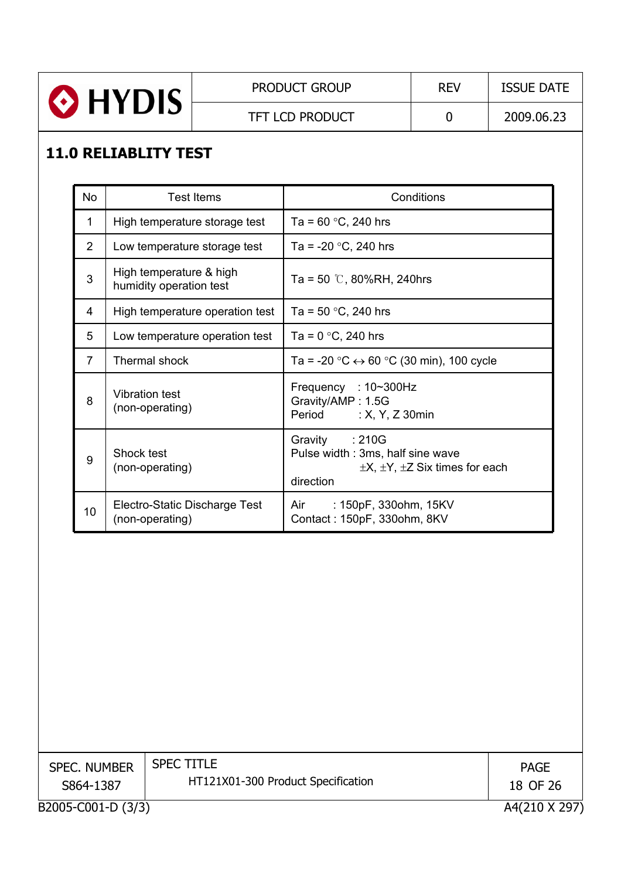

TFT LCD PRODUCT 0 2009.06.23

## **11.0 RELIABLITY TEST**

| <b>No</b>      | <b>Test Items</b>                                  | Conditions                                                                                                        |
|----------------|----------------------------------------------------|-------------------------------------------------------------------------------------------------------------------|
| 1              | High temperature storage test                      | Ta = $60 °C$ , 240 hrs                                                                                            |
| $\overline{2}$ | Low temperature storage test                       | Ta = $-20$ °C, 240 hrs                                                                                            |
| 3              | High temperature & high<br>humidity operation test | Ta = 50 $\degree$ C, 80%RH, 240hrs                                                                                |
| 4              | High temperature operation test                    | Ta = $50 °C$ , 240 hrs                                                                                            |
| 5              | Low temperature operation test                     | Ta = $0^{\circ}$ C, 240 hrs                                                                                       |
| $\overline{7}$ | Thermal shock                                      | Ta = -20 $\degree$ C $\leftrightarrow$ 60 $\degree$ C (30 min), 100 cycle                                         |
| 8              | Vibration test<br>(non-operating)                  | Frequency : 10~300Hz<br>Gravity/AMP: 1.5G<br>Period : X, Y, Z 30min                                               |
| 9              | Shock test<br>(non-operating)                      | Gravity : 210G<br>Pulse width: 3ms, half sine wave<br>$\pm X$ , $\pm Y$ , $\pm Z$ Six times for each<br>direction |
| 10             | Electro-Static Discharge Test<br>(non-operating)   | : 150pF, 330ohm, 15KV<br>Air<br>Contact: 150pF, 330ohm, 8KV                                                       |

| <b>SPEC. NUMBER</b> | <b>SPEC TITLE</b>                  | <b>PAGE</b>   |
|---------------------|------------------------------------|---------------|
| S864-1387           | HT121X01-300 Product Specification | 18 OF 26      |
| B2005-C001-D (3/3)  |                                    | A4(210 X 297) |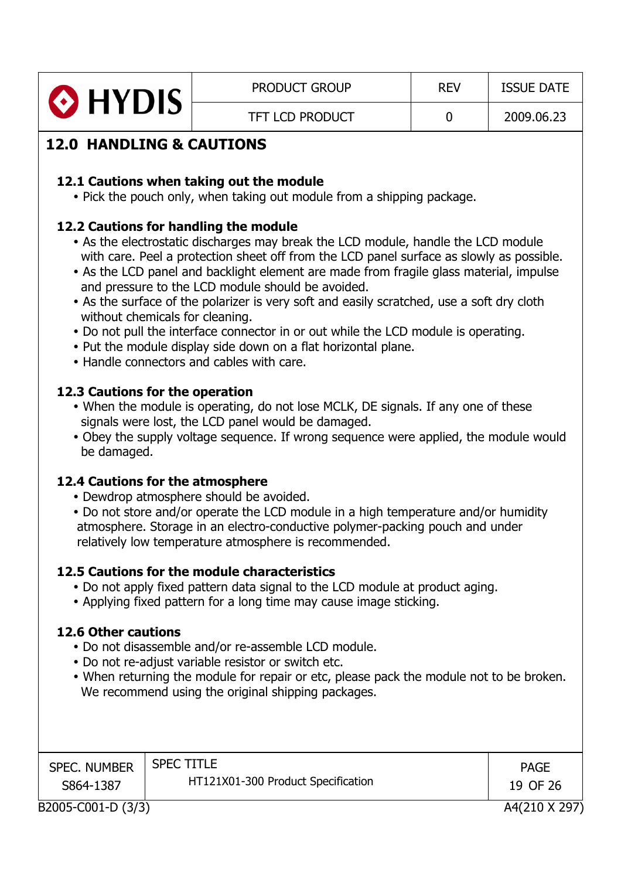| HYDIS | <b>PRODUCT GROUP</b>   | <b>REV</b> | <b>ISSUE DATE</b> |
|-------|------------------------|------------|-------------------|
|       | <b>TFT LCD PRODUCT</b> |            | 2009.06.23        |

## **12.0 HANDLING & CAUTIONS**

#### **12.1 Cautions when taking out the module**

• Pick the pouch only, when taking out module from a shipping package.

#### **12.2 Cautions for handling the module**

- As the electrostatic discharges may break the LCD module, handle the LCD module with care. Peel a protection sheet off from the LCD panel surface as slowly as possible.
- As the LCD panel and backlight element are made from fragile glass material, impulse and pressure to the LCD module should be avoided.
- As the surface of the polarizer is very soft and easily scratched, use a soft dry cloth without chemicals for cleaning.
- Do not pull the interface connector in or out while the LCD module is operating.
- Put the module display side down on a flat horizontal plane.
- Handle connectors and cables with care.

#### **12.3 Cautions for the operation**

- When the module is operating, do not lose MCLK, DE signals. If any one of these signals were lost, the LCD panel would be damaged.
- Obey the supply voltage sequence. If wrong sequence were applied, the module would be damaged.

#### **12.4 Cautions for the atmosphere**

- Dewdrop atmosphere should be avoided.
- Do not store and/or operate the LCD module in a high temperature and/or humidity atmosphere. Storage in an electro-conductive polymer-packing pouch and under relatively low temperature atmosphere is recommended.

#### **12.5 Cautions for the module characteristics**

- Do not apply fixed pattern data signal to the LCD module at product aging.
- Applying fixed pattern for a long time may cause image sticking.

#### **12.6 Other cautions**

- Do not disassemble and/or re-assemble LCD module.
- Do not re-adjust variable resistor or switch etc.
- When returning the module for repair or etc, please pack the module not to be broken. We recommend using the original shipping packages.

| <b>SPEC. NUMBER</b> | <b>SPEC TITLE</b>                  | <b>PAGE</b>   |
|---------------------|------------------------------------|---------------|
| S864-1387           | HT121X01-300 Product Specification | 19 OF 26      |
| B2005-C001-D (3/3)  |                                    | A4(210 X 297) |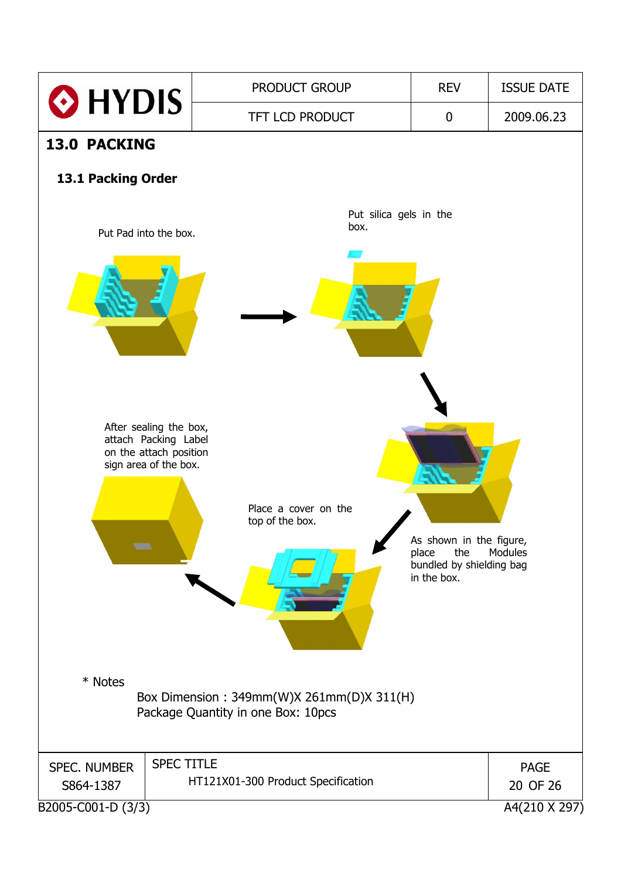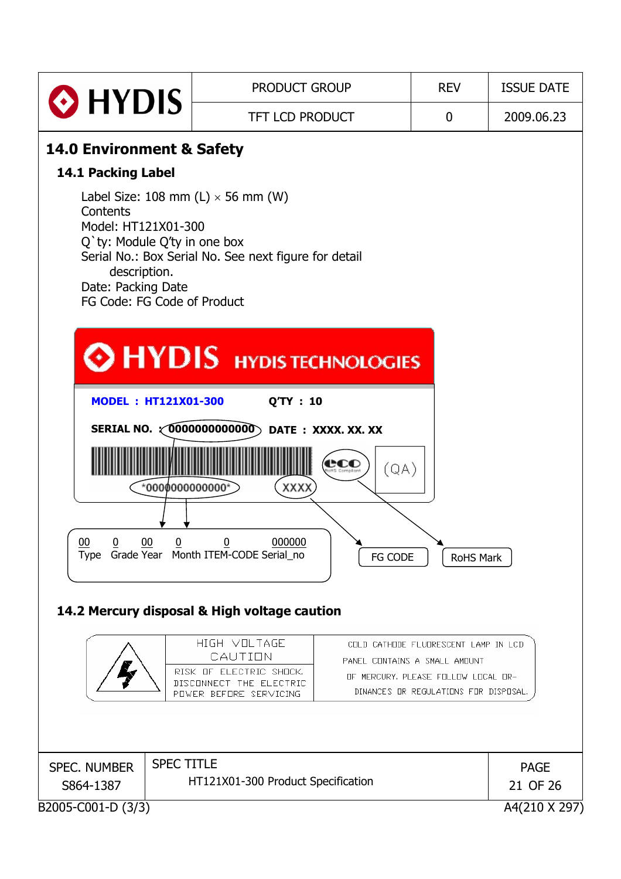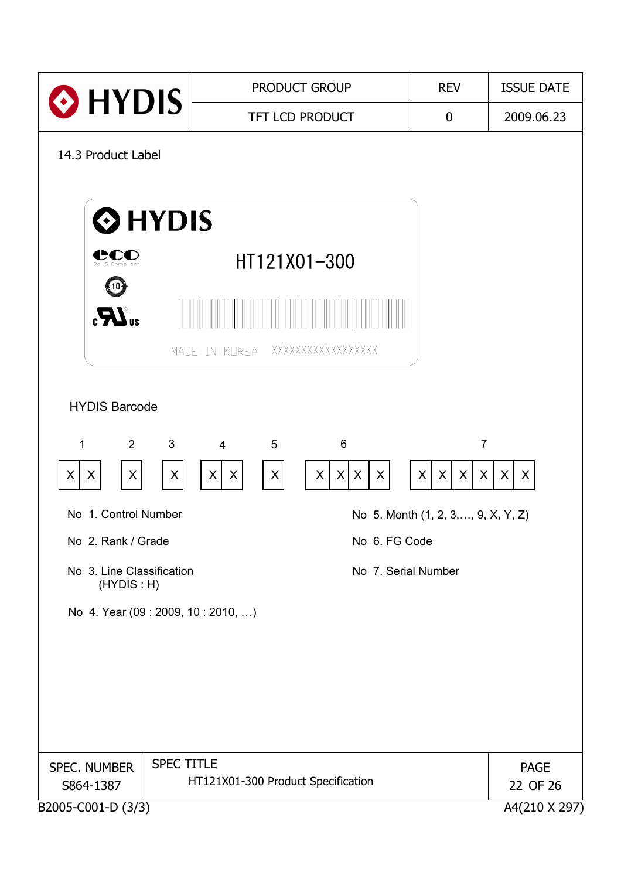| HYDIS                                                           | <b>PRODUCT GROUP</b>                        | <b>REV</b>                          | <b>ISSUE DATE</b> |
|-----------------------------------------------------------------|---------------------------------------------|-------------------------------------|-------------------|
|                                                                 | <b>TFT LCD PRODUCT</b>                      | $\boldsymbol{0}$                    | 2009.06.23        |
| 14.3 Product Label                                              |                                             |                                     |                   |
|                                                                 |                                             |                                     |                   |
| <b>O</b> HYDIS                                                  |                                             |                                     |                   |
| RoHS Compliant                                                  | HT121X01-300                                |                                     |                   |
|                                                                 |                                             |                                     |                   |
| $\mathbf{R}^{\text{u}}$                                         |                                             |                                     |                   |
|                                                                 | XXXXXXXXXXXXXXXXX<br>MADE IN KOREA          |                                     |                   |
|                                                                 |                                             |                                     |                   |
| <b>HYDIS Barcode</b>                                            |                                             |                                     |                   |
| $\mathfrak{B}$<br>$\overline{2}$<br>1                           | 6<br>$\overline{4}$<br>5                    | $\overline{7}$                      |                   |
| X<br>X<br>X<br>X                                                | $\mathsf X$<br>X<br> X <br>X<br>X<br>X<br>X | $\mathsf{X}$<br>X<br>X<br>$\sf X$   | X<br>X            |
| No 1. Control Number                                            |                                             | No 5. Month (1, 2, 3, , 9, X, Y, Z) |                   |
| No 2. Rank / Grade<br>No 6. FG Code                             |                                             |                                     |                   |
| No 3. Line Classification<br>No 7. Serial Number<br>(HYDIS : H) |                                             |                                     |                   |
| No 4. Year (09 : 2009, 10 : 2010, )                             |                                             |                                     |                   |
|                                                                 |                                             |                                     |                   |
|                                                                 |                                             |                                     |                   |
|                                                                 |                                             |                                     |                   |
|                                                                 |                                             |                                     |                   |
| SPEC. NUMBER                                                    | <b>SPEC TITLE</b>                           |                                     | <b>PAGE</b>       |
| HT121X01-300 Product Specification<br>S864-1387                 |                                             | 22 OF 26                            |                   |
| B2005-C001-D (3/3)                                              |                                             |                                     | A4(210 X 297)     |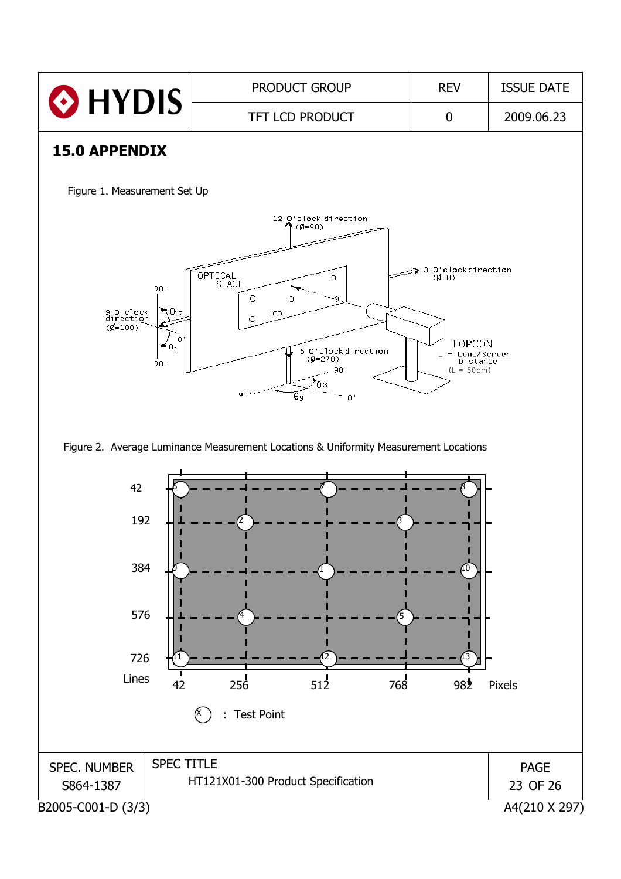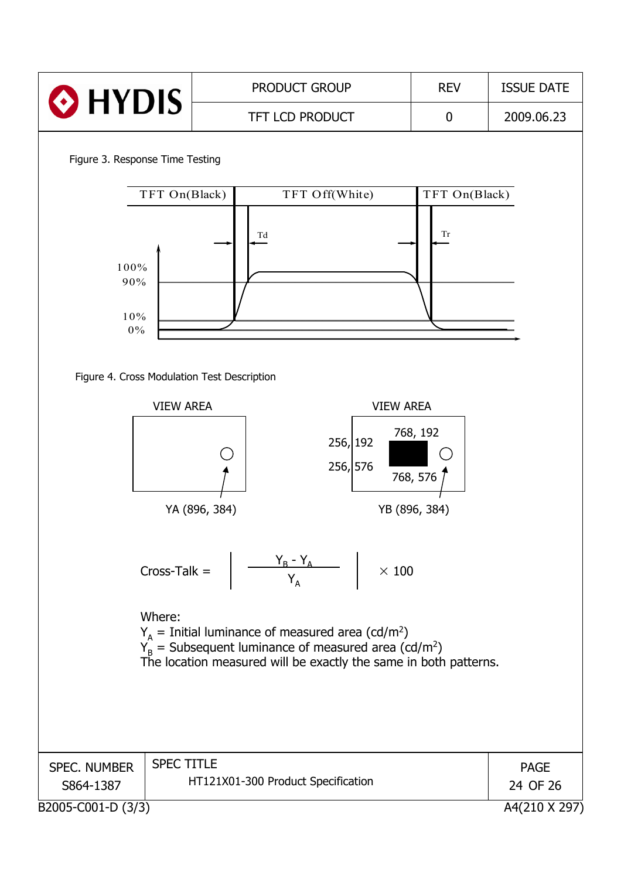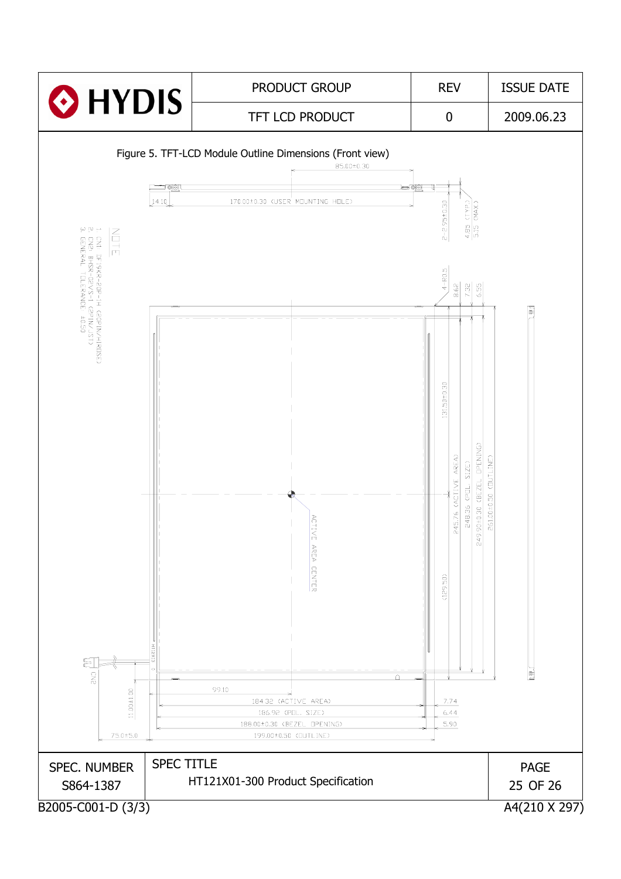